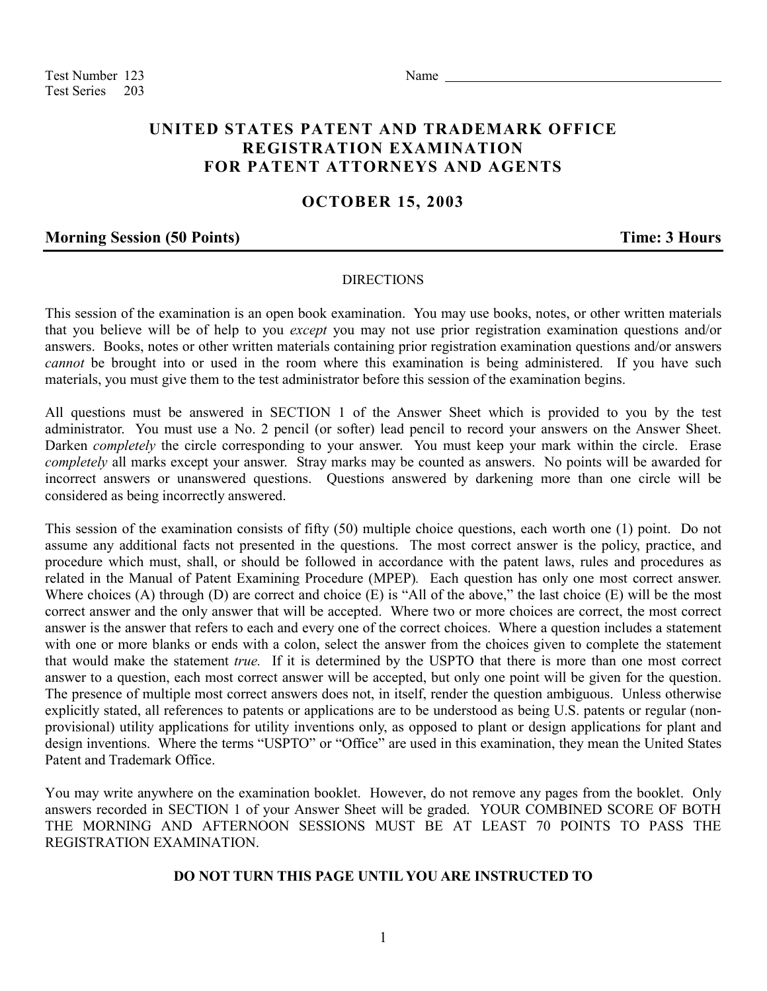Test Number 123 Name Test Series 203

# **UNITED STATES PATENT AND TRADEMARK OFFICE REGISTRATION EXAMINATION FOR PATENT ATTORNEYS AND AGENTS**

## **OCTOBER 15, 2003**

### **Morning Session (50 Points)** Time: 3 Hours

#### DIRECTIONS

This session of the examination is an open book examination. You may use books, notes, or other written materials that you believe will be of help to you *except* you may not use prior registration examination questions and/or answers. Books, notes or other written materials containing prior registration examination questions and/or answers *cannot* be brought into or used in the room where this examination is being administered. If you have such materials, you must give them to the test administrator before this session of the examination begins.

All questions must be answered in SECTION 1 of the Answer Sheet which is provided to you by the test administrator. You must use a No. 2 pencil (or softer) lead pencil to record your answers on the Answer Sheet. Darken *completely* the circle corresponding to your answer. You must keep your mark within the circle. Erase *completely* all marks except your answer. Stray marks may be counted as answers. No points will be awarded for incorrect answers or unanswered questions. Questions answered by darkening more than one circle will be considered as being incorrectly answered.

This session of the examination consists of fifty (50) multiple choice questions, each worth one (1) point. Do not assume any additional facts not presented in the questions. The most correct answer is the policy, practice, and procedure which must, shall, or should be followed in accordance with the patent laws, rules and procedures as related in the Manual of Patent Examining Procedure (MPEP)*.* Each question has only one most correct answer. Where choices (A) through (D) are correct and choice (E) is "All of the above," the last choice (E) will be the most correct answer and the only answer that will be accepted. Where two or more choices are correct, the most correct answer is the answer that refers to each and every one of the correct choices. Where a question includes a statement with one or more blanks or ends with a colon, select the answer from the choices given to complete the statement that would make the statement *true.* If it is determined by the USPTO that there is more than one most correct answer to a question, each most correct answer will be accepted, but only one point will be given for the question. The presence of multiple most correct answers does not, in itself, render the question ambiguous. Unless otherwise explicitly stated, all references to patents or applications are to be understood as being U.S. patents or regular (nonprovisional) utility applications for utility inventions only, as opposed to plant or design applications for plant and design inventions. Where the terms "USPTO" or "Office" are used in this examination, they mean the United States Patent and Trademark Office.

You may write anywhere on the examination booklet. However, do not remove any pages from the booklet. Only answers recorded in SECTION 1 of your Answer Sheet will be graded. YOUR COMBINED SCORE OF BOTH THE MORNING AND AFTERNOON SESSIONS MUST BE AT LEAST 70 POINTS TO PASS THE REGISTRATION EXAMINATION.

### **DO NOT TURN THIS PAGE UNTIL YOU ARE INSTRUCTED TO**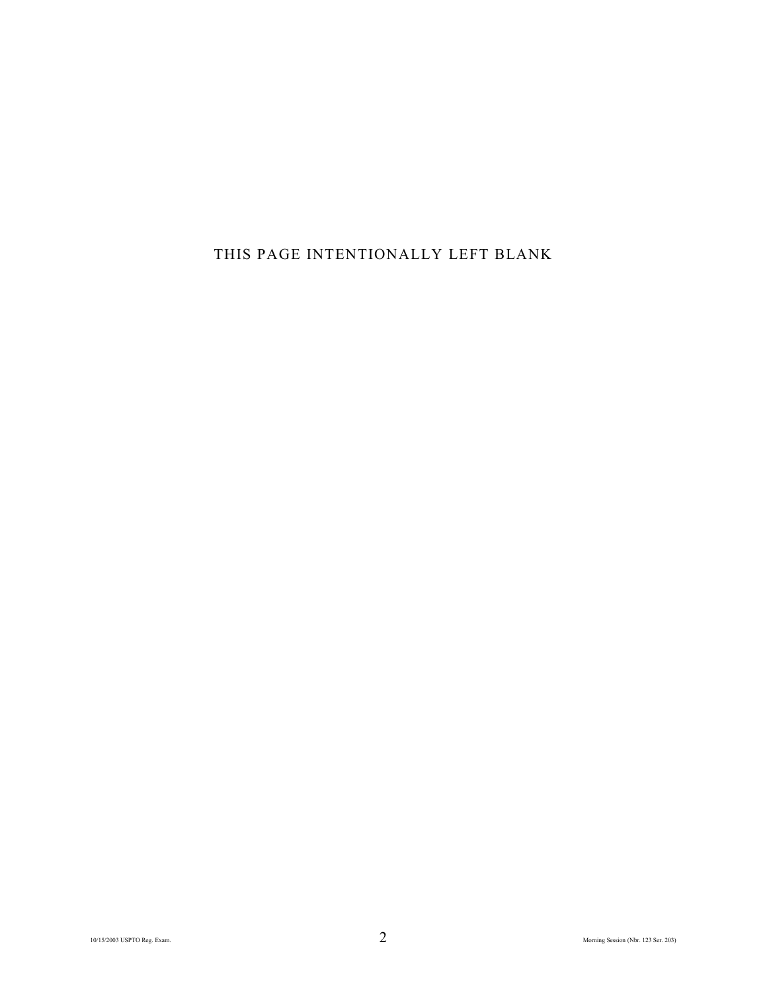THIS PAGE INTENTIONALLY LEFT BLANK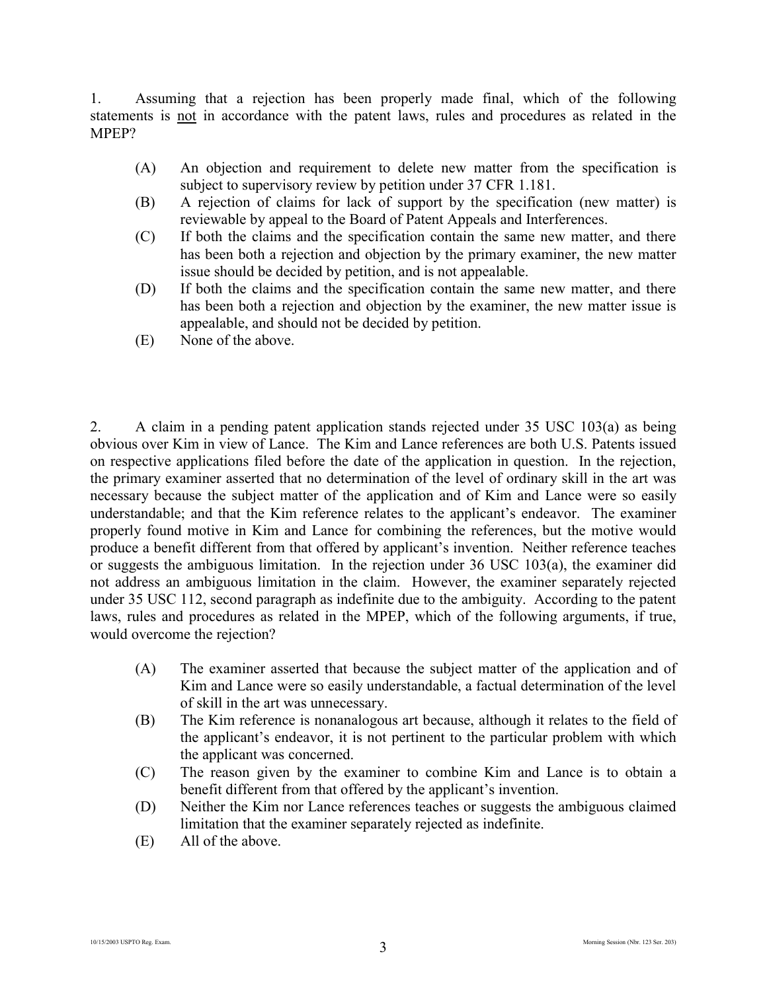1. Assuming that a rejection has been properly made final, which of the following statements is not in accordance with the patent laws, rules and procedures as related in the MPEP?

- (A) An objection and requirement to delete new matter from the specification is subject to supervisory review by petition under 37 CFR 1.181.
- (B) A rejection of claims for lack of support by the specification (new matter) is reviewable by appeal to the Board of Patent Appeals and Interferences.
- (C) If both the claims and the specification contain the same new matter, and there has been both a rejection and objection by the primary examiner, the new matter issue should be decided by petition, and is not appealable.
- (D) If both the claims and the specification contain the same new matter, and there has been both a rejection and objection by the examiner, the new matter issue is appealable, and should not be decided by petition.
- (E) None of the above.

2. A claim in a pending patent application stands rejected under 35 USC 103(a) as being obvious over Kim in view of Lance. The Kim and Lance references are both U.S. Patents issued on respective applications filed before the date of the application in question. In the rejection, the primary examiner asserted that no determination of the level of ordinary skill in the art was necessary because the subject matter of the application and of Kim and Lance were so easily understandable; and that the Kim reference relates to the applicant's endeavor. The examiner properly found motive in Kim and Lance for combining the references, but the motive would produce a benefit different from that offered by applicant's invention. Neither reference teaches or suggests the ambiguous limitation. In the rejection under 36 USC 103(a), the examiner did not address an ambiguous limitation in the claim. However, the examiner separately rejected under 35 USC 112, second paragraph as indefinite due to the ambiguity. According to the patent laws, rules and procedures as related in the MPEP, which of the following arguments, if true, would overcome the rejection?

- (A) The examiner asserted that because the subject matter of the application and of Kim and Lance were so easily understandable, a factual determination of the level of skill in the art was unnecessary.
- (B) The Kim reference is nonanalogous art because, although it relates to the field of the applicant's endeavor, it is not pertinent to the particular problem with which the applicant was concerned.
- (C) The reason given by the examiner to combine Kim and Lance is to obtain a benefit different from that offered by the applicant's invention.
- (D) Neither the Kim nor Lance references teaches or suggests the ambiguous claimed limitation that the examiner separately rejected as indefinite.
- (E) All of the above.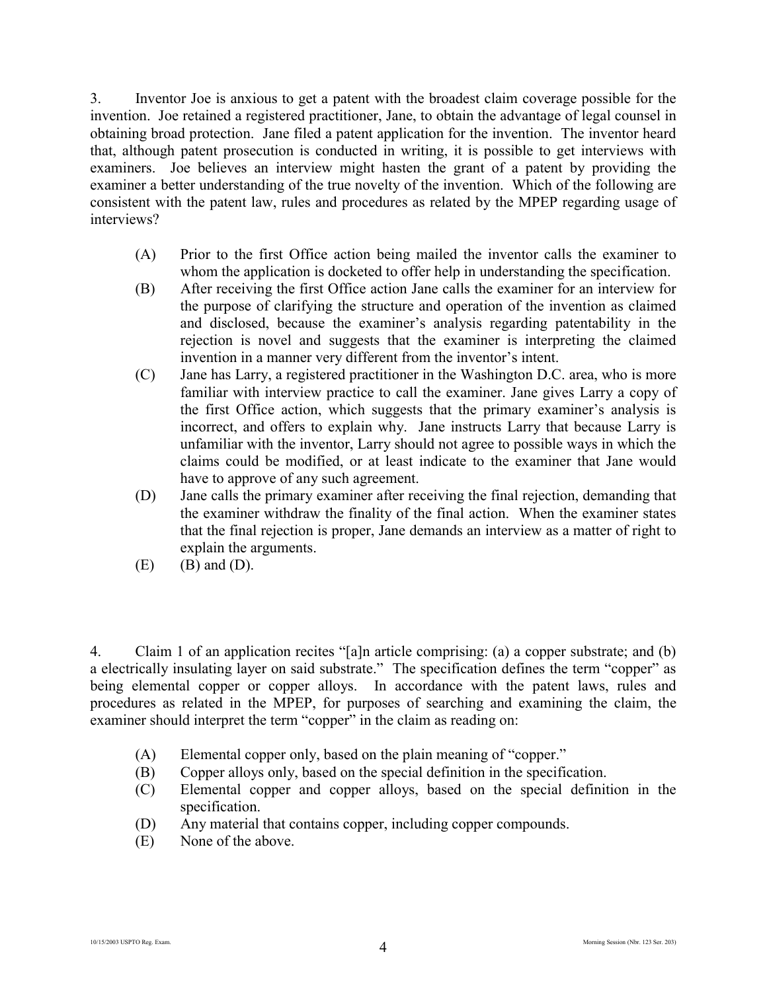3. Inventor Joe is anxious to get a patent with the broadest claim coverage possible for the invention. Joe retained a registered practitioner, Jane, to obtain the advantage of legal counsel in obtaining broad protection. Jane filed a patent application for the invention. The inventor heard that, although patent prosecution is conducted in writing, it is possible to get interviews with examiners. Joe believes an interview might hasten the grant of a patent by providing the examiner a better understanding of the true novelty of the invention. Which of the following are consistent with the patent law, rules and procedures as related by the MPEP regarding usage of interviews?

- (A) Prior to the first Office action being mailed the inventor calls the examiner to whom the application is docketed to offer help in understanding the specification.
- (B) After receiving the first Office action Jane calls the examiner for an interview for the purpose of clarifying the structure and operation of the invention as claimed and disclosed, because the examiner's analysis regarding patentability in the rejection is novel and suggests that the examiner is interpreting the claimed invention in a manner very different from the inventor's intent.
- (C) Jane has Larry, a registered practitioner in the Washington D.C. area, who is more familiar with interview practice to call the examiner. Jane gives Larry a copy of the first Office action, which suggests that the primary examiner's analysis is incorrect, and offers to explain why. Jane instructs Larry that because Larry is unfamiliar with the inventor, Larry should not agree to possible ways in which the claims could be modified, or at least indicate to the examiner that Jane would have to approve of any such agreement.
- (D) Jane calls the primary examiner after receiving the final rejection, demanding that the examiner withdraw the finality of the final action. When the examiner states that the final rejection is proper, Jane demands an interview as a matter of right to explain the arguments.
- $(E)$  (B) and  $(D)$ .

4. Claim 1 of an application recites "[a]n article comprising: (a) a copper substrate; and (b) a electrically insulating layer on said substrate." The specification defines the term "copper" as being elemental copper or copper alloys. In accordance with the patent laws, rules and procedures as related in the MPEP, for purposes of searching and examining the claim, the examiner should interpret the term "copper" in the claim as reading on:

- (A) Elemental copper only, based on the plain meaning of "copper."
- (B) Copper alloys only, based on the special definition in the specification.
- (C) Elemental copper and copper alloys, based on the special definition in the specification.
- (D) Any material that contains copper, including copper compounds.
- (E) None of the above.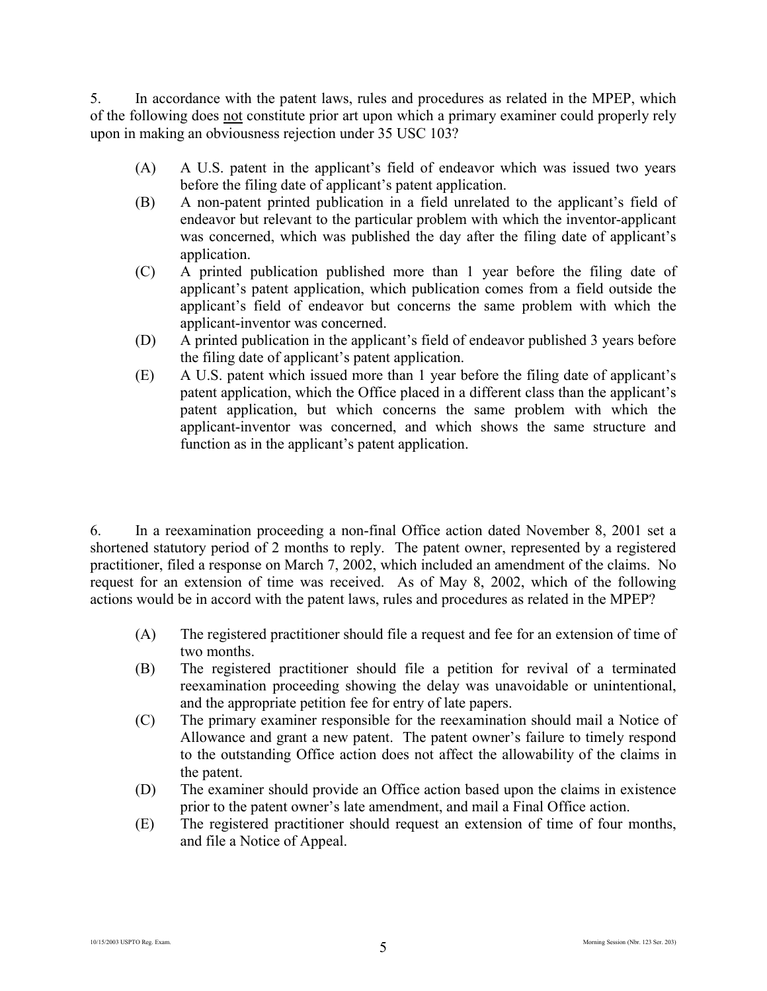5. In accordance with the patent laws, rules and procedures as related in the MPEP, which of the following does not constitute prior art upon which a primary examiner could properly rely upon in making an obviousness rejection under 35 USC 103?

- (A) A U.S. patent in the applicant's field of endeavor which was issued two years before the filing date of applicant's patent application.
- (B) A non-patent printed publication in a field unrelated to the applicant's field of endeavor but relevant to the particular problem with which the inventor-applicant was concerned, which was published the day after the filing date of applicant's application.
- (C) A printed publication published more than 1 year before the filing date of applicant's patent application, which publication comes from a field outside the applicant's field of endeavor but concerns the same problem with which the applicant-inventor was concerned.
- (D) A printed publication in the applicant's field of endeavor published 3 years before the filing date of applicant's patent application.
- (E) A U.S. patent which issued more than 1 year before the filing date of applicant's patent application, which the Office placed in a different class than the applicant's patent application, but which concerns the same problem with which the applicant-inventor was concerned, and which shows the same structure and function as in the applicant's patent application.

6. In a reexamination proceeding a non-final Office action dated November 8, 2001 set a shortened statutory period of 2 months to reply. The patent owner, represented by a registered practitioner, filed a response on March 7, 2002, which included an amendment of the claims. No request for an extension of time was received. As of May 8, 2002, which of the following actions would be in accord with the patent laws, rules and procedures as related in the MPEP?

- (A) The registered practitioner should file a request and fee for an extension of time of two months.
- (B) The registered practitioner should file a petition for revival of a terminated reexamination proceeding showing the delay was unavoidable or unintentional, and the appropriate petition fee for entry of late papers.
- (C) The primary examiner responsible for the reexamination should mail a Notice of Allowance and grant a new patent. The patent owner's failure to timely respond to the outstanding Office action does not affect the allowability of the claims in the patent.
- (D) The examiner should provide an Office action based upon the claims in existence prior to the patent owner's late amendment, and mail a Final Office action.
- (E) The registered practitioner should request an extension of time of four months, and file a Notice of Appeal.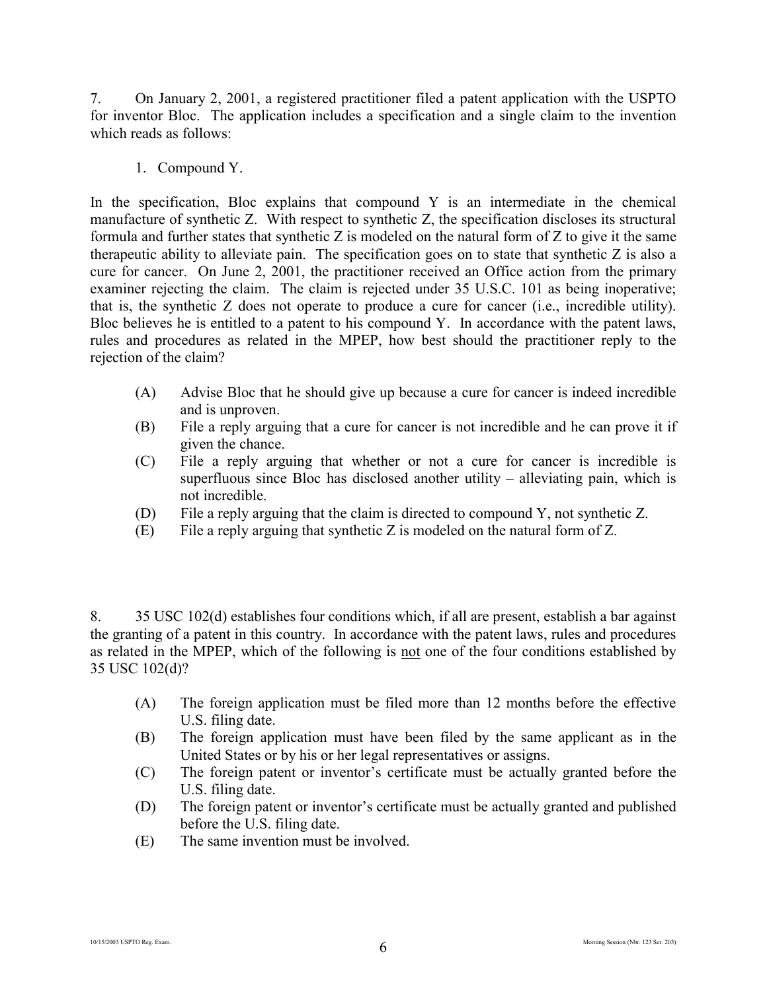7. On January 2, 2001, a registered practitioner filed a patent application with the USPTO for inventor Bloc. The application includes a specification and a single claim to the invention which reads as follows:

1. Compound Y.

In the specification, Bloc explains that compound Y is an intermediate in the chemical manufacture of synthetic Z. With respect to synthetic Z, the specification discloses its structural formula and further states that synthetic  $Z$  is modeled on the natural form of  $Z$  to give it the same therapeutic ability to alleviate pain. The specification goes on to state that synthetic Z is also a cure for cancer. On June 2, 2001, the practitioner received an Office action from the primary examiner rejecting the claim. The claim is rejected under 35 U.S.C. 101 as being inoperative; that is, the synthetic Z does not operate to produce a cure for cancer (i.e., incredible utility). Bloc believes he is entitled to a patent to his compound Y. In accordance with the patent laws, rules and procedures as related in the MPEP, how best should the practitioner reply to the rejection of the claim?

- (A) Advise Bloc that he should give up because a cure for cancer is indeed incredible and is unproven.
- (B) File a reply arguing that a cure for cancer is not incredible and he can prove it if given the chance.
- (C) File a reply arguing that whether or not a cure for cancer is incredible is superfluous since Bloc has disclosed another utility – alleviating pain, which is not incredible.
- (D) File a reply arguing that the claim is directed to compound Y, not synthetic Z.
- (E) File a reply arguing that synthetic Z is modeled on the natural form of Z.

8. 35 USC 102(d) establishes four conditions which, if all are present, establish a bar against the granting of a patent in this country. In accordance with the patent laws, rules and procedures as related in the MPEP, which of the following is not one of the four conditions established by 35 USC 102(d)?

- (A) The foreign application must be filed more than 12 months before the effective U.S. filing date.
- (B) The foreign application must have been filed by the same applicant as in the United States or by his or her legal representatives or assigns.
- (C) The foreign patent or inventor's certificate must be actually granted before the U.S. filing date.
- (D) The foreign patent or inventor's certificate must be actually granted and published before the U.S. filing date.
- (E) The same invention must be involved.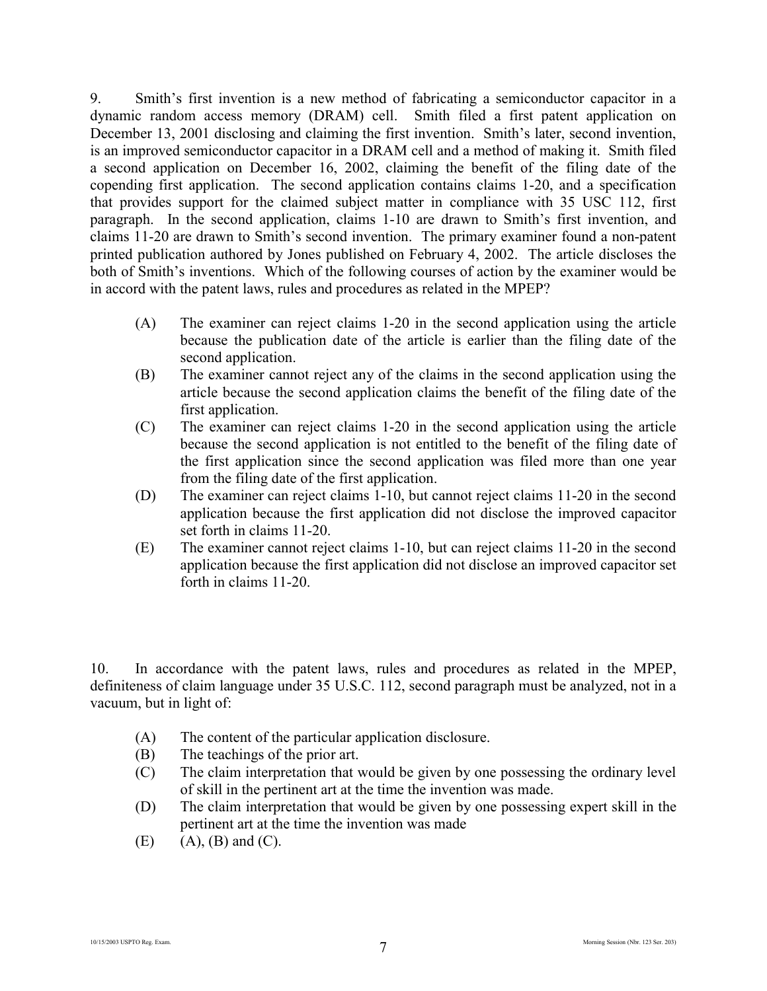9. Smith's first invention is a new method of fabricating a semiconductor capacitor in a dynamic random access memory (DRAM) cell. Smith filed a first patent application on December 13, 2001 disclosing and claiming the first invention. Smith's later, second invention, is an improved semiconductor capacitor in a DRAM cell and a method of making it. Smith filed a second application on December 16, 2002, claiming the benefit of the filing date of the copending first application. The second application contains claims 1-20, and a specification that provides support for the claimed subject matter in compliance with 35 USC 112, first paragraph. In the second application, claims 1-10 are drawn to Smith's first invention, and claims 11-20 are drawn to Smith's second invention. The primary examiner found a non-patent printed publication authored by Jones published on February 4, 2002. The article discloses the both of Smith's inventions. Which of the following courses of action by the examiner would be in accord with the patent laws, rules and procedures as related in the MPEP?

- (A) The examiner can reject claims 1-20 in the second application using the article because the publication date of the article is earlier than the filing date of the second application.
- (B) The examiner cannot reject any of the claims in the second application using the article because the second application claims the benefit of the filing date of the first application.
- (C) The examiner can reject claims 1-20 in the second application using the article because the second application is not entitled to the benefit of the filing date of the first application since the second application was filed more than one year from the filing date of the first application.
- (D) The examiner can reject claims 1-10, but cannot reject claims 11-20 in the second application because the first application did not disclose the improved capacitor set forth in claims 11-20.
- (E) The examiner cannot reject claims 1-10, but can reject claims 11-20 in the second application because the first application did not disclose an improved capacitor set forth in claims 11-20.

10. In accordance with the patent laws, rules and procedures as related in the MPEP, definiteness of claim language under 35 U.S.C. 112, second paragraph must be analyzed, not in a vacuum, but in light of:

- (A) The content of the particular application disclosure.
- (B) The teachings of the prior art.
- (C) The claim interpretation that would be given by one possessing the ordinary level of skill in the pertinent art at the time the invention was made.
- (D) The claim interpretation that would be given by one possessing expert skill in the pertinent art at the time the invention was made
- $(E)$  (A),  $(B)$  and  $(C)$ .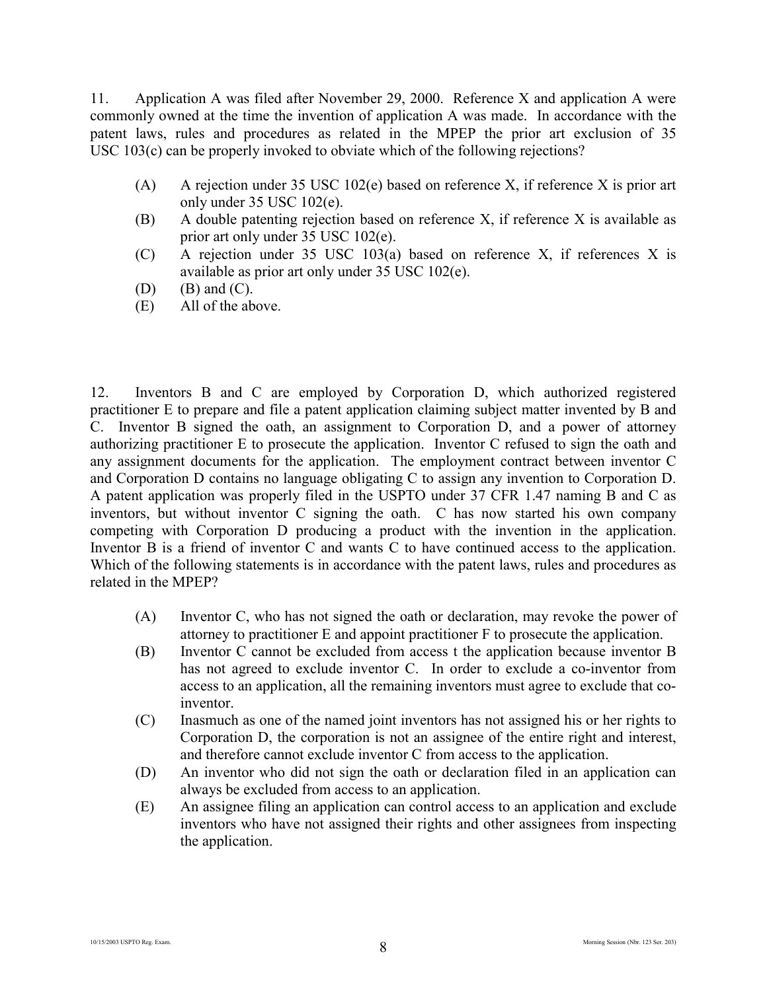11. Application A was filed after November 29, 2000. Reference X and application A were commonly owned at the time the invention of application A was made. In accordance with the patent laws, rules and procedures as related in the MPEP the prior art exclusion of 35 USC 103(c) can be properly invoked to obviate which of the following rejections?

- (A) A rejection under 35 USC 102(e) based on reference X, if reference X is prior art only under 35 USC 102(e).
- (B) A double patenting rejection based on reference X, if reference X is available as prior art only under 35 USC 102(e).
- (C) A rejection under 35 USC 103(a) based on reference X, if references X is available as prior art only under 35 USC 102(e).
- $(D)$   $(B)$  and  $(C)$ .
- (E) All of the above.

12. Inventors B and C are employed by Corporation D, which authorized registered practitioner E to prepare and file a patent application claiming subject matter invented by B and C. Inventor B signed the oath, an assignment to Corporation D, and a power of attorney authorizing practitioner E to prosecute the application. Inventor C refused to sign the oath and any assignment documents for the application. The employment contract between inventor C and Corporation D contains no language obligating C to assign any invention to Corporation D. A patent application was properly filed in the USPTO under 37 CFR 1.47 naming B and C as inventors, but without inventor C signing the oath. C has now started his own company competing with Corporation D producing a product with the invention in the application. Inventor B is a friend of inventor C and wants C to have continued access to the application. Which of the following statements is in accordance with the patent laws, rules and procedures as related in the MPEP?

- (A) Inventor C, who has not signed the oath or declaration, may revoke the power of attorney to practitioner E and appoint practitioner F to prosecute the application.
- (B) Inventor C cannot be excluded from access t the application because inventor B has not agreed to exclude inventor C. In order to exclude a co-inventor from access to an application, all the remaining inventors must agree to exclude that coinventor.
- (C) Inasmuch as one of the named joint inventors has not assigned his or her rights to Corporation D, the corporation is not an assignee of the entire right and interest, and therefore cannot exclude inventor C from access to the application.
- (D) An inventor who did not sign the oath or declaration filed in an application can always be excluded from access to an application.
- (E) An assignee filing an application can control access to an application and exclude inventors who have not assigned their rights and other assignees from inspecting the application.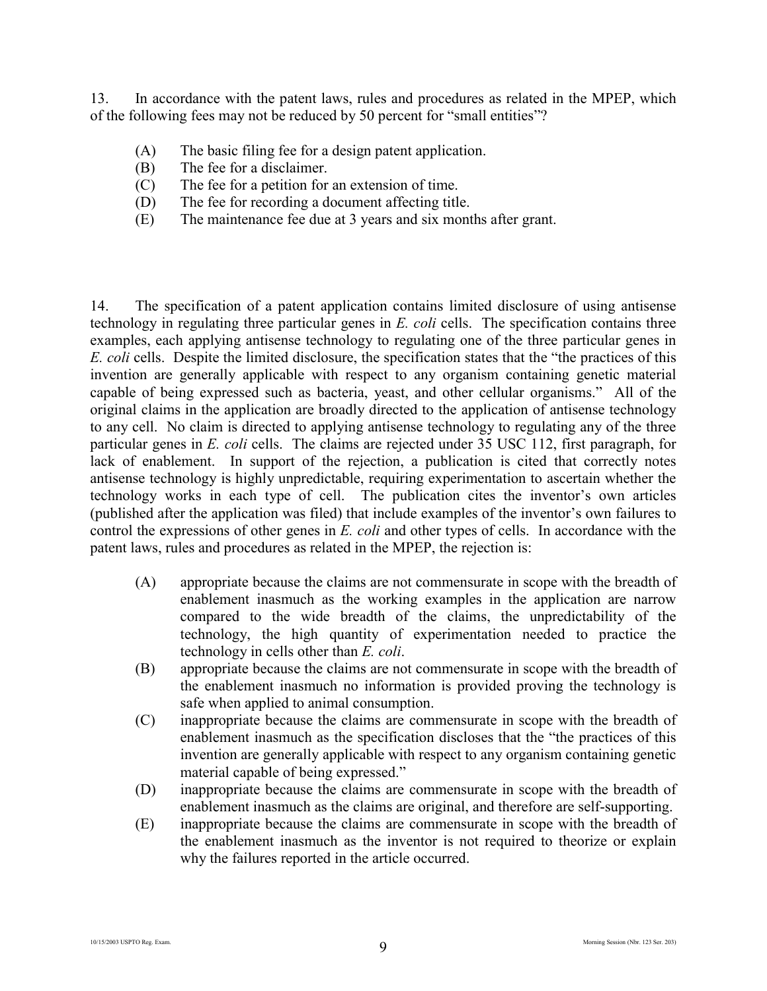13. In accordance with the patent laws, rules and procedures as related in the MPEP, which of the following fees may not be reduced by 50 percent for "small entities"?

- (A) The basic filing fee for a design patent application.
- (B) The fee for a disclaimer.
- (C) The fee for a petition for an extension of time.
- (D) The fee for recording a document affecting title.
- (E) The maintenance fee due at 3 years and six months after grant.

14. The specification of a patent application contains limited disclosure of using antisense technology in regulating three particular genes in *E. coli* cells. The specification contains three examples, each applying antisense technology to regulating one of the three particular genes in *E. coli* cells. Despite the limited disclosure, the specification states that the "the practices of this invention are generally applicable with respect to any organism containing genetic material capable of being expressed such as bacteria, yeast, and other cellular organisms." All of the original claims in the application are broadly directed to the application of antisense technology to any cell. No claim is directed to applying antisense technology to regulating any of the three particular genes in *E. coli* cells. The claims are rejected under 35 USC 112, first paragraph, for lack of enablement. In support of the rejection, a publication is cited that correctly notes antisense technology is highly unpredictable, requiring experimentation to ascertain whether the technology works in each type of cell. The publication cites the inventor's own articles (published after the application was filed) that include examples of the inventor's own failures to control the expressions of other genes in *E. coli* and other types of cells. In accordance with the patent laws, rules and procedures as related in the MPEP, the rejection is:

- (A) appropriate because the claims are not commensurate in scope with the breadth of enablement inasmuch as the working examples in the application are narrow compared to the wide breadth of the claims, the unpredictability of the technology, the high quantity of experimentation needed to practice the technology in cells other than *E. coli*.
- (B) appropriate because the claims are not commensurate in scope with the breadth of the enablement inasmuch no information is provided proving the technology is safe when applied to animal consumption.
- (C) inappropriate because the claims are commensurate in scope with the breadth of enablement inasmuch as the specification discloses that the "the practices of this invention are generally applicable with respect to any organism containing genetic material capable of being expressed."
- (D) inappropriate because the claims are commensurate in scope with the breadth of enablement inasmuch as the claims are original, and therefore are self-supporting.
- (E) inappropriate because the claims are commensurate in scope with the breadth of the enablement inasmuch as the inventor is not required to theorize or explain why the failures reported in the article occurred.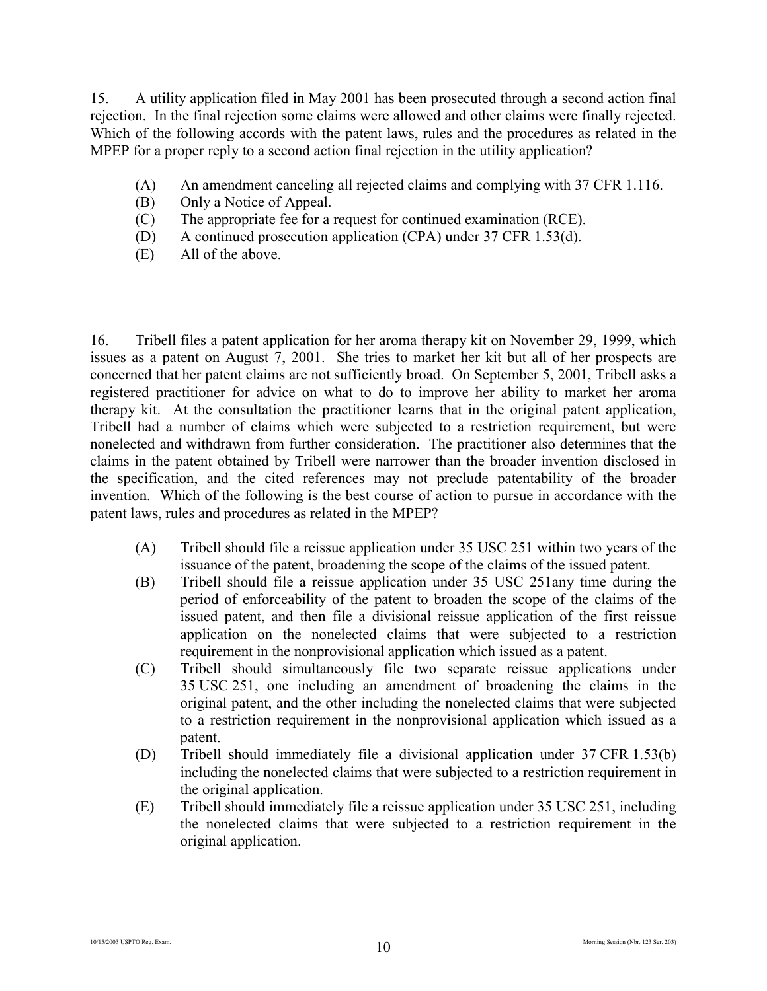15. A utility application filed in May 2001 has been prosecuted through a second action final rejection. In the final rejection some claims were allowed and other claims were finally rejected. Which of the following accords with the patent laws, rules and the procedures as related in the MPEP for a proper reply to a second action final rejection in the utility application?

- (A) An amendment canceling all rejected claims and complying with 37 CFR 1.116.
- (B) Only a Notice of Appeal.
- (C) The appropriate fee for a request for continued examination (RCE).
- (D) A continued prosecution application (CPA) under 37 CFR 1.53(d).
- (E) All of the above.

16. Tribell files a patent application for her aroma therapy kit on November 29, 1999, which issues as a patent on August 7, 2001. She tries to market her kit but all of her prospects are concerned that her patent claims are not sufficiently broad. On September 5, 2001, Tribell asks a registered practitioner for advice on what to do to improve her ability to market her aroma therapy kit. At the consultation the practitioner learns that in the original patent application, Tribell had a number of claims which were subjected to a restriction requirement, but were nonelected and withdrawn from further consideration. The practitioner also determines that the claims in the patent obtained by Tribell were narrower than the broader invention disclosed in the specification, and the cited references may not preclude patentability of the broader invention. Which of the following is the best course of action to pursue in accordance with the patent laws, rules and procedures as related in the MPEP?

- (A) Tribell should file a reissue application under 35 USC 251 within two years of the issuance of the patent, broadening the scope of the claims of the issued patent.
- (B) Tribell should file a reissue application under 35 USC 251any time during the period of enforceability of the patent to broaden the scope of the claims of the issued patent, and then file a divisional reissue application of the first reissue application on the nonelected claims that were subjected to a restriction requirement in the nonprovisional application which issued as a patent.
- (C) Tribell should simultaneously file two separate reissue applications under 35 USC 251, one including an amendment of broadening the claims in the original patent, and the other including the nonelected claims that were subjected to a restriction requirement in the nonprovisional application which issued as a patent.
- (D) Tribell should immediately file a divisional application under 37 CFR 1.53(b) including the nonelected claims that were subjected to a restriction requirement in the original application.
- (E) Tribell should immediately file a reissue application under 35 USC 251, including the nonelected claims that were subjected to a restriction requirement in the original application.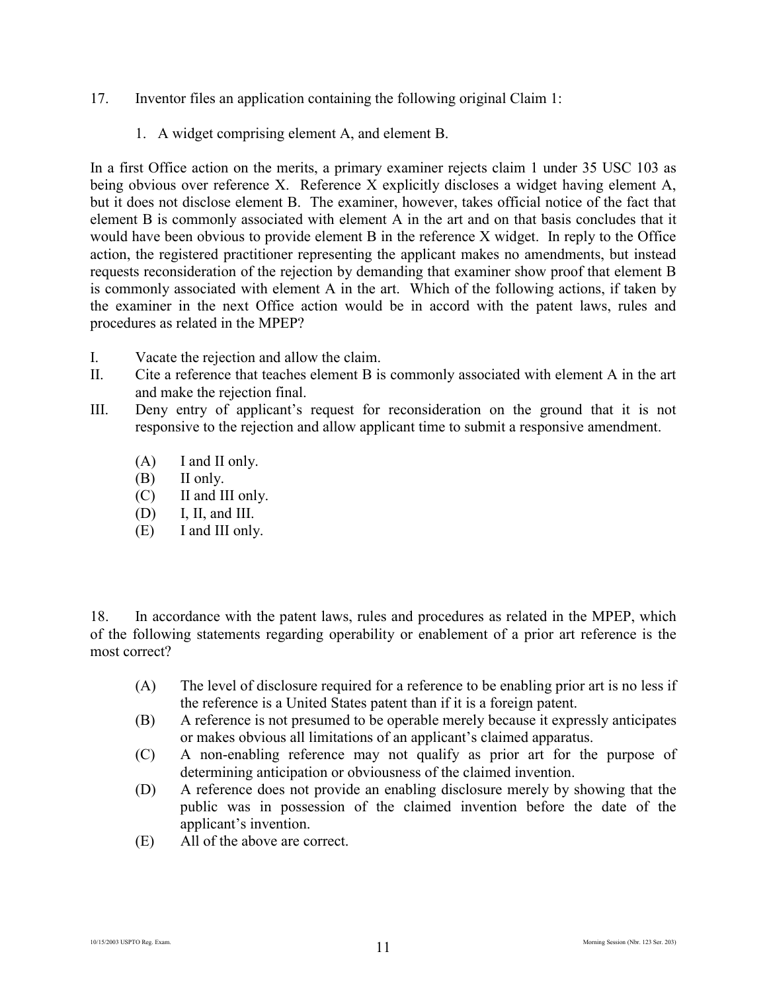- 17. Inventor files an application containing the following original Claim 1:
	- 1. A widget comprising element A, and element B.

In a first Office action on the merits, a primary examiner rejects claim 1 under 35 USC 103 as being obvious over reference X. Reference X explicitly discloses a widget having element A, but it does not disclose element B. The examiner, however, takes official notice of the fact that element B is commonly associated with element A in the art and on that basis concludes that it would have been obvious to provide element B in the reference X widget. In reply to the Office action, the registered practitioner representing the applicant makes no amendments, but instead requests reconsideration of the rejection by demanding that examiner show proof that element B is commonly associated with element A in the art. Which of the following actions, if taken by the examiner in the next Office action would be in accord with the patent laws, rules and procedures as related in the MPEP?

- I. Vacate the rejection and allow the claim.
- II. Cite a reference that teaches element B is commonly associated with element A in the art and make the rejection final.
- III. Deny entry of applicant's request for reconsideration on the ground that it is not responsive to the rejection and allow applicant time to submit a responsive amendment.
	- (A) I and II only.
	- (B) II only.
	- (C) II and III only.
	- (D) I, II, and III.
	- (E) I and III only.

18. In accordance with the patent laws, rules and procedures as related in the MPEP, which of the following statements regarding operability or enablement of a prior art reference is the most correct?

- (A) The level of disclosure required for a reference to be enabling prior art is no less if the reference is a United States patent than if it is a foreign patent.
- (B) A reference is not presumed to be operable merely because it expressly anticipates or makes obvious all limitations of an applicant's claimed apparatus.
- (C) A non-enabling reference may not qualify as prior art for the purpose of determining anticipation or obviousness of the claimed invention.
- (D) A reference does not provide an enabling disclosure merely by showing that the public was in possession of the claimed invention before the date of the applicant's invention.
- (E) All of the above are correct.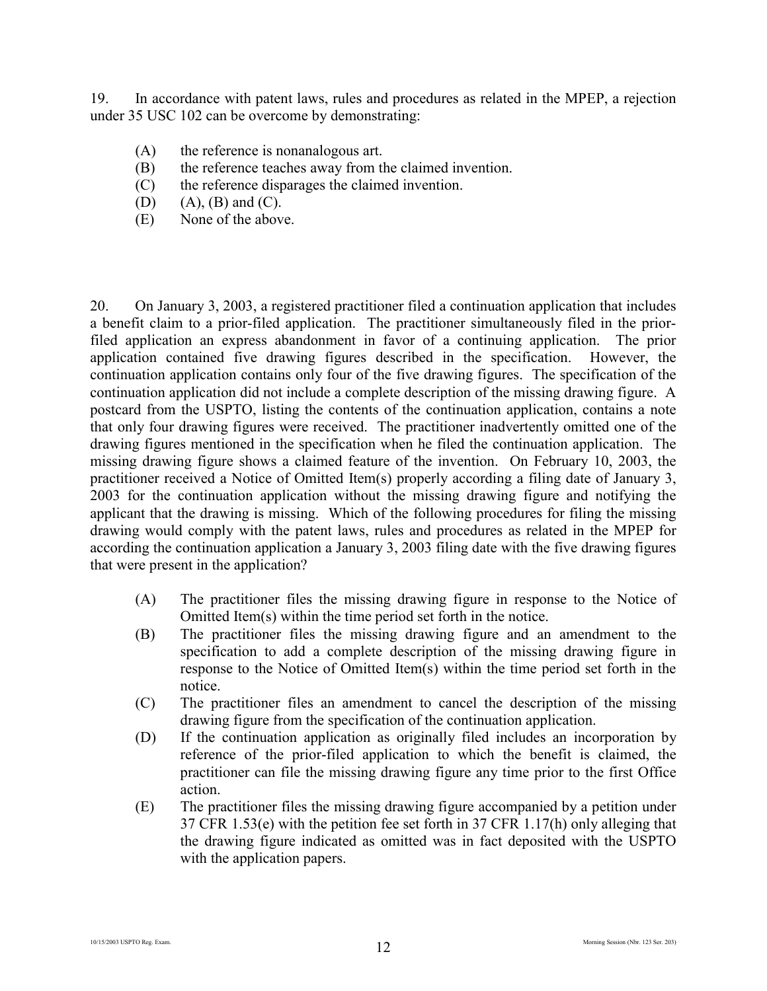19. In accordance with patent laws, rules and procedures as related in the MPEP, a rejection under 35 USC 102 can be overcome by demonstrating:

- (A) the reference is nonanalogous art.
- (B) the reference teaches away from the claimed invention.
- (C) the reference disparages the claimed invention.
- (D)  $(A)$ ,  $(B)$  and  $(C)$ .
- (E) None of the above.

20. On January 3, 2003, a registered practitioner filed a continuation application that includes a benefit claim to a prior-filed application. The practitioner simultaneously filed in the priorfiled application an express abandonment in favor of a continuing application. The prior application contained five drawing figures described in the specification. However, the continuation application contains only four of the five drawing figures. The specification of the continuation application did not include a complete description of the missing drawing figure. A postcard from the USPTO, listing the contents of the continuation application, contains a note that only four drawing figures were received. The practitioner inadvertently omitted one of the drawing figures mentioned in the specification when he filed the continuation application. The missing drawing figure shows a claimed feature of the invention. On February 10, 2003, the practitioner received a Notice of Omitted Item(s) properly according a filing date of January 3, 2003 for the continuation application without the missing drawing figure and notifying the applicant that the drawing is missing. Which of the following procedures for filing the missing drawing would comply with the patent laws, rules and procedures as related in the MPEP for according the continuation application a January 3, 2003 filing date with the five drawing figures that were present in the application?

- (A) The practitioner files the missing drawing figure in response to the Notice of Omitted Item(s) within the time period set forth in the notice.
- (B) The practitioner files the missing drawing figure and an amendment to the specification to add a complete description of the missing drawing figure in response to the Notice of Omitted Item(s) within the time period set forth in the notice.
- (C) The practitioner files an amendment to cancel the description of the missing drawing figure from the specification of the continuation application.
- (D) If the continuation application as originally filed includes an incorporation by reference of the prior-filed application to which the benefit is claimed, the practitioner can file the missing drawing figure any time prior to the first Office action.
- (E) The practitioner files the missing drawing figure accompanied by a petition under 37 CFR 1.53(e) with the petition fee set forth in 37 CFR 1.17(h) only alleging that the drawing figure indicated as omitted was in fact deposited with the USPTO with the application papers.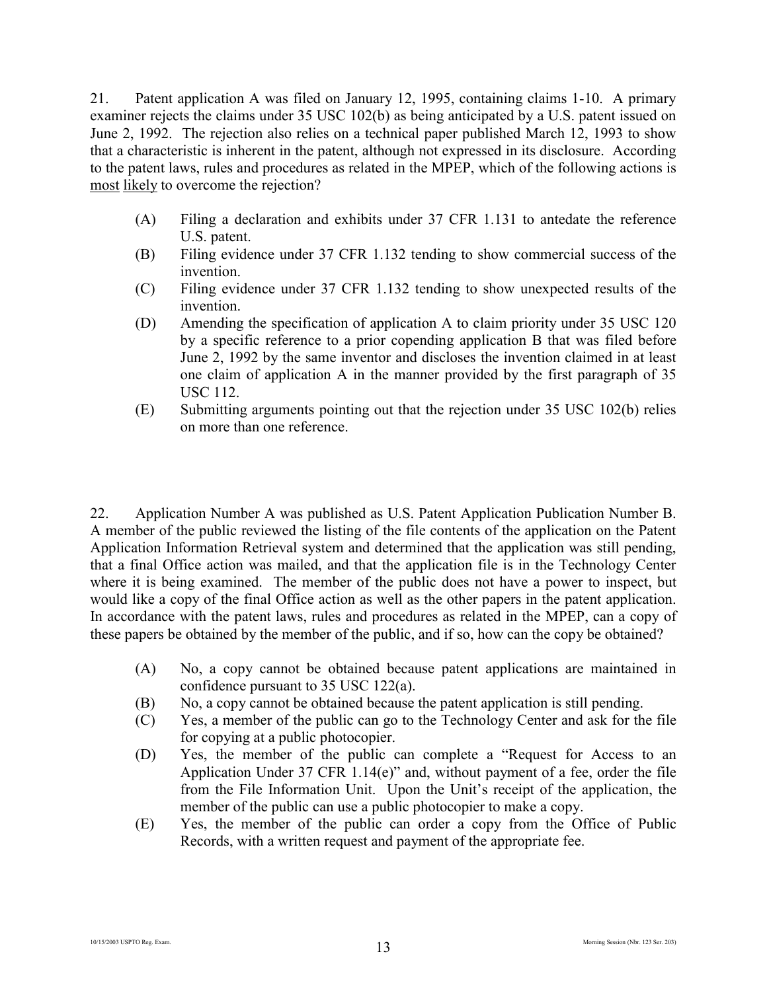21. Patent application A was filed on January 12, 1995, containing claims 1-10. A primary examiner rejects the claims under 35 USC 102(b) as being anticipated by a U.S. patent issued on June 2, 1992. The rejection also relies on a technical paper published March 12, 1993 to show that a characteristic is inherent in the patent, although not expressed in its disclosure. According to the patent laws, rules and procedures as related in the MPEP, which of the following actions is most likely to overcome the rejection?

- (A) Filing a declaration and exhibits under 37 CFR 1.131 to antedate the reference U.S. patent.
- (B) Filing evidence under 37 CFR 1.132 tending to show commercial success of the invention.
- (C) Filing evidence under 37 CFR 1.132 tending to show unexpected results of the invention.
- (D) Amending the specification of application A to claim priority under 35 USC 120 by a specific reference to a prior copending application B that was filed before June 2, 1992 by the same inventor and discloses the invention claimed in at least one claim of application A in the manner provided by the first paragraph of 35 USC 112.
- (E) Submitting arguments pointing out that the rejection under 35 USC 102(b) relies on more than one reference.

22. Application Number A was published as U.S. Patent Application Publication Number B. A member of the public reviewed the listing of the file contents of the application on the Patent Application Information Retrieval system and determined that the application was still pending, that a final Office action was mailed, and that the application file is in the Technology Center where it is being examined. The member of the public does not have a power to inspect, but would like a copy of the final Office action as well as the other papers in the patent application. In accordance with the patent laws, rules and procedures as related in the MPEP, can a copy of these papers be obtained by the member of the public, and if so, how can the copy be obtained?

- (A) No, a copy cannot be obtained because patent applications are maintained in confidence pursuant to 35 USC 122(a).
- (B) No, a copy cannot be obtained because the patent application is still pending.
- (C) Yes, a member of the public can go to the Technology Center and ask for the file for copying at a public photocopier.
- (D) Yes, the member of the public can complete a "Request for Access to an Application Under 37 CFR 1.14(e)" and, without payment of a fee, order the file from the File Information Unit. Upon the Unit's receipt of the application, the member of the public can use a public photocopier to make a copy.
- (E) Yes, the member of the public can order a copy from the Office of Public Records, with a written request and payment of the appropriate fee.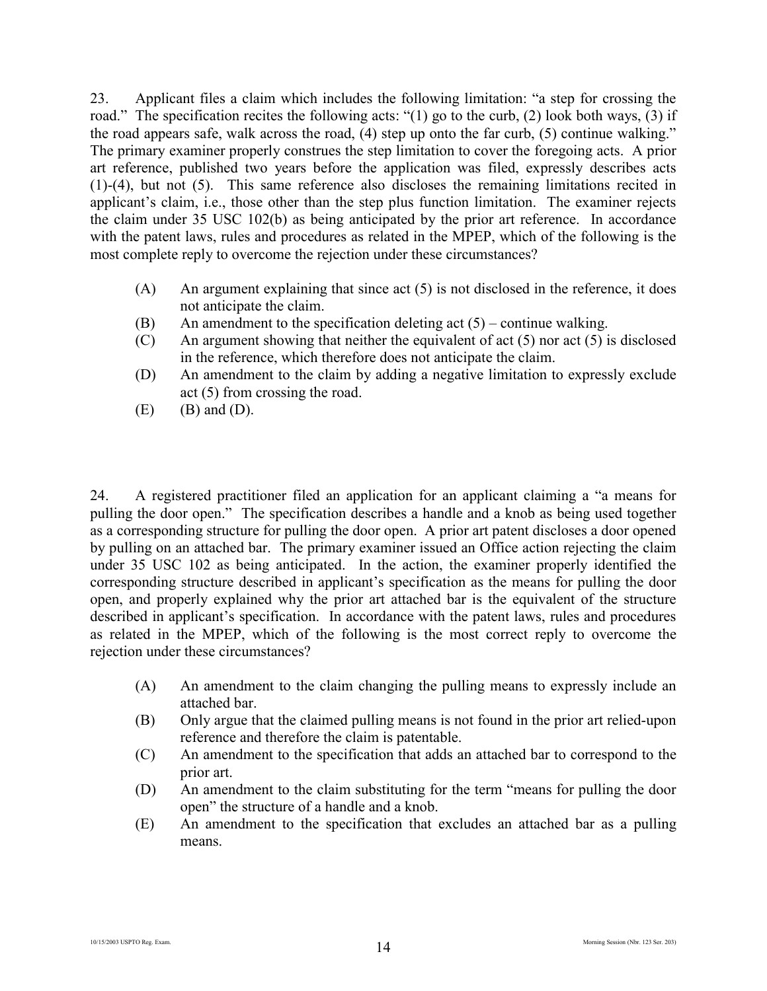23. Applicant files a claim which includes the following limitation: "a step for crossing the road." The specification recites the following acts: "(1) go to the curb, (2) look both ways, (3) if the road appears safe, walk across the road, (4) step up onto the far curb, (5) continue walking." The primary examiner properly construes the step limitation to cover the foregoing acts. A prior art reference, published two years before the application was filed, expressly describes acts (1)-(4), but not (5). This same reference also discloses the remaining limitations recited in applicant's claim, i.e., those other than the step plus function limitation. The examiner rejects the claim under 35 USC 102(b) as being anticipated by the prior art reference. In accordance with the patent laws, rules and procedures as related in the MPEP, which of the following is the most complete reply to overcome the rejection under these circumstances?

- (A) An argument explaining that since act (5) is not disclosed in the reference, it does not anticipate the claim.
- (B) An amendment to the specification deleting act  $(5)$  continue walking.
- (C) An argument showing that neither the equivalent of act (5) nor act (5) is disclosed in the reference, which therefore does not anticipate the claim.
- (D) An amendment to the claim by adding a negative limitation to expressly exclude act (5) from crossing the road.
- $(E)$  (B) and  $(D)$ .

24. A registered practitioner filed an application for an applicant claiming a "a means for pulling the door open." The specification describes a handle and a knob as being used together as a corresponding structure for pulling the door open. A prior art patent discloses a door opened by pulling on an attached bar. The primary examiner issued an Office action rejecting the claim under 35 USC 102 as being anticipated. In the action, the examiner properly identified the corresponding structure described in applicant's specification as the means for pulling the door open, and properly explained why the prior art attached bar is the equivalent of the structure described in applicant's specification. In accordance with the patent laws, rules and procedures as related in the MPEP, which of the following is the most correct reply to overcome the rejection under these circumstances?

- (A) An amendment to the claim changing the pulling means to expressly include an attached bar.
- (B) Only argue that the claimed pulling means is not found in the prior art relied-upon reference and therefore the claim is patentable.
- (C) An amendment to the specification that adds an attached bar to correspond to the prior art.
- (D) An amendment to the claim substituting for the term "means for pulling the door open" the structure of a handle and a knob.
- (E) An amendment to the specification that excludes an attached bar as a pulling means.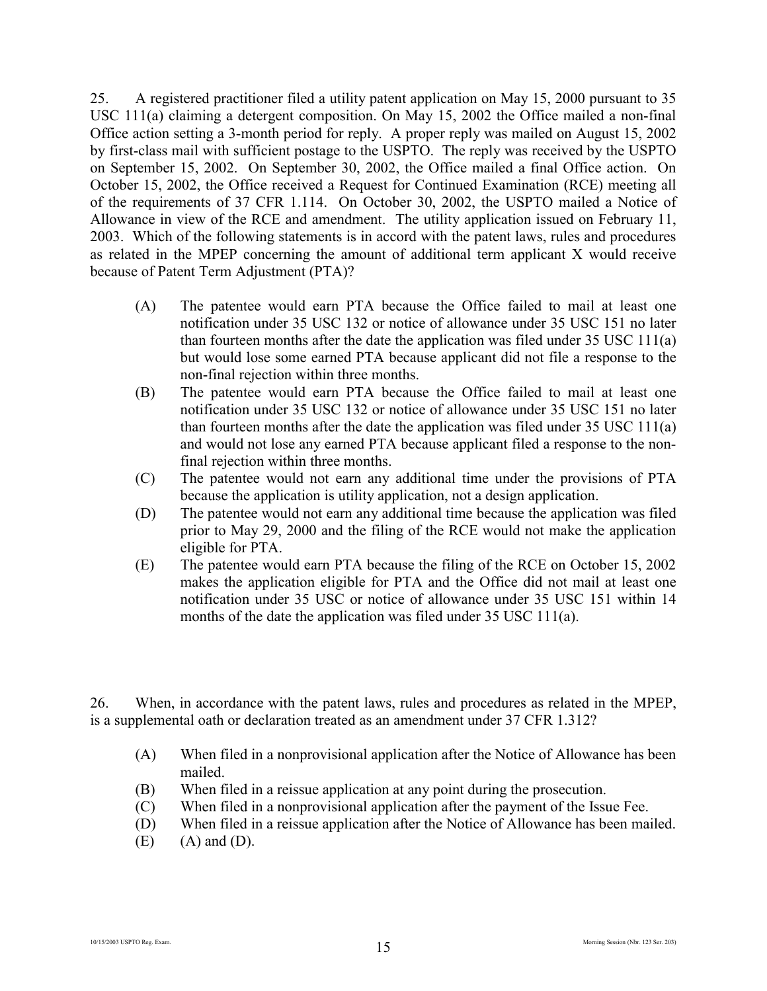25. A registered practitioner filed a utility patent application on May 15, 2000 pursuant to 35 USC 111(a) claiming a detergent composition. On May 15, 2002 the Office mailed a non-final Office action setting a 3-month period for reply. A proper reply was mailed on August 15, 2002 by first-class mail with sufficient postage to the USPTO. The reply was received by the USPTO on September 15, 2002. On September 30, 2002, the Office mailed a final Office action. On October 15, 2002, the Office received a Request for Continued Examination (RCE) meeting all of the requirements of 37 CFR 1.114. On October 30, 2002, the USPTO mailed a Notice of Allowance in view of the RCE and amendment. The utility application issued on February 11, 2003. Which of the following statements is in accord with the patent laws, rules and procedures as related in the MPEP concerning the amount of additional term applicant X would receive because of Patent Term Adjustment (PTA)?

- (A) The patentee would earn PTA because the Office failed to mail at least one notification under 35 USC 132 or notice of allowance under 35 USC 151 no later than fourteen months after the date the application was filed under 35 USC 111(a) but would lose some earned PTA because applicant did not file a response to the non-final rejection within three months.
- (B) The patentee would earn PTA because the Office failed to mail at least one notification under 35 USC 132 or notice of allowance under 35 USC 151 no later than fourteen months after the date the application was filed under 35 USC 111(a) and would not lose any earned PTA because applicant filed a response to the nonfinal rejection within three months.
- (C) The patentee would not earn any additional time under the provisions of PTA because the application is utility application, not a design application.
- (D) The patentee would not earn any additional time because the application was filed prior to May 29, 2000 and the filing of the RCE would not make the application eligible for PTA.
- (E) The patentee would earn PTA because the filing of the RCE on October 15, 2002 makes the application eligible for PTA and the Office did not mail at least one notification under 35 USC or notice of allowance under 35 USC 151 within 14 months of the date the application was filed under 35 USC 111(a).

26. When, in accordance with the patent laws, rules and procedures as related in the MPEP, is a supplemental oath or declaration treated as an amendment under 37 CFR 1.312?

- (A) When filed in a nonprovisional application after the Notice of Allowance has been mailed.
- (B) When filed in a reissue application at any point during the prosecution.
- (C) When filed in a nonprovisional application after the payment of the Issue Fee.
- (D) When filed in a reissue application after the Notice of Allowance has been mailed.
- $(E)$   $(A)$  and  $(D)$ .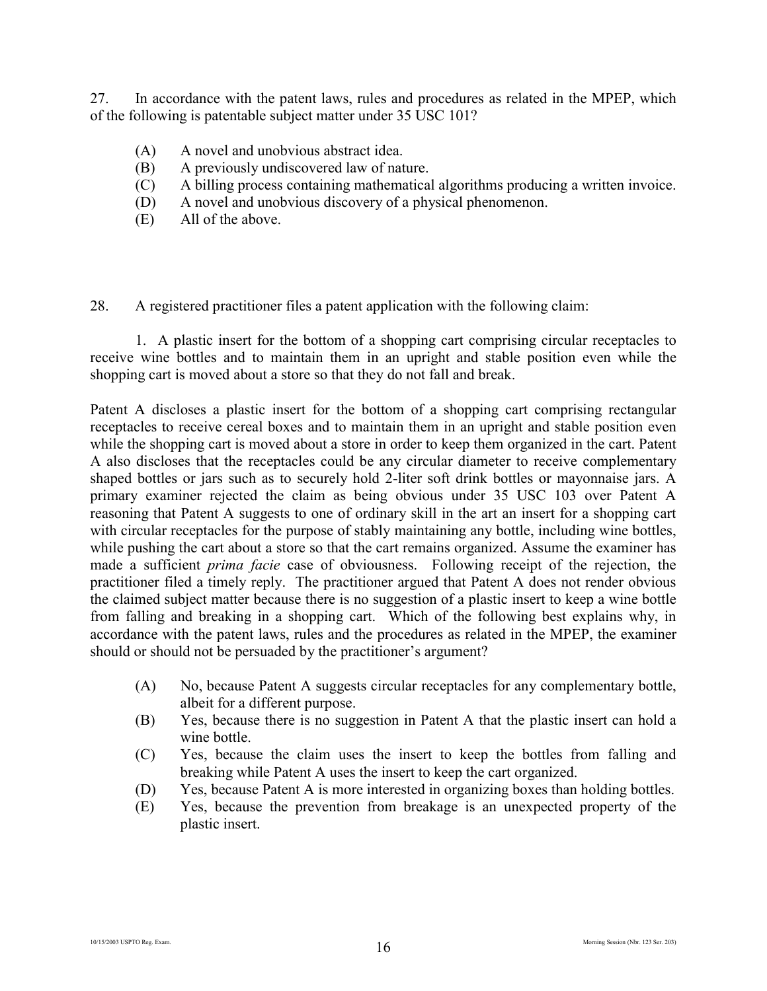27. In accordance with the patent laws, rules and procedures as related in the MPEP, which of the following is patentable subject matter under 35 USC 101?

- (A) A novel and unobvious abstract idea.
- (B) A previously undiscovered law of nature.
- (C) A billing process containing mathematical algorithms producing a written invoice.
- (D) A novel and unobvious discovery of a physical phenomenon.
- (E) All of the above.

28. A registered practitioner files a patent application with the following claim:

 1. A plastic insert for the bottom of a shopping cart comprising circular receptacles to receive wine bottles and to maintain them in an upright and stable position even while the shopping cart is moved about a store so that they do not fall and break.

Patent A discloses a plastic insert for the bottom of a shopping cart comprising rectangular receptacles to receive cereal boxes and to maintain them in an upright and stable position even while the shopping cart is moved about a store in order to keep them organized in the cart. Patent A also discloses that the receptacles could be any circular diameter to receive complementary shaped bottles or jars such as to securely hold 2-liter soft drink bottles or mayonnaise jars. A primary examiner rejected the claim as being obvious under 35 USC 103 over Patent A reasoning that Patent A suggests to one of ordinary skill in the art an insert for a shopping cart with circular receptacles for the purpose of stably maintaining any bottle, including wine bottles, while pushing the cart about a store so that the cart remains organized. Assume the examiner has made a sufficient *prima facie* case of obviousness. Following receipt of the rejection, the practitioner filed a timely reply. The practitioner argued that Patent A does not render obvious the claimed subject matter because there is no suggestion of a plastic insert to keep a wine bottle from falling and breaking in a shopping cart. Which of the following best explains why, in accordance with the patent laws, rules and the procedures as related in the MPEP, the examiner should or should not be persuaded by the practitioner's argument?

- (A) No, because Patent A suggests circular receptacles for any complementary bottle, albeit for a different purpose.
- (B) Yes, because there is no suggestion in Patent A that the plastic insert can hold a wine bottle.
- (C) Yes, because the claim uses the insert to keep the bottles from falling and breaking while Patent A uses the insert to keep the cart organized.
- (D) Yes, because Patent A is more interested in organizing boxes than holding bottles.
- (E) Yes, because the prevention from breakage is an unexpected property of the plastic insert.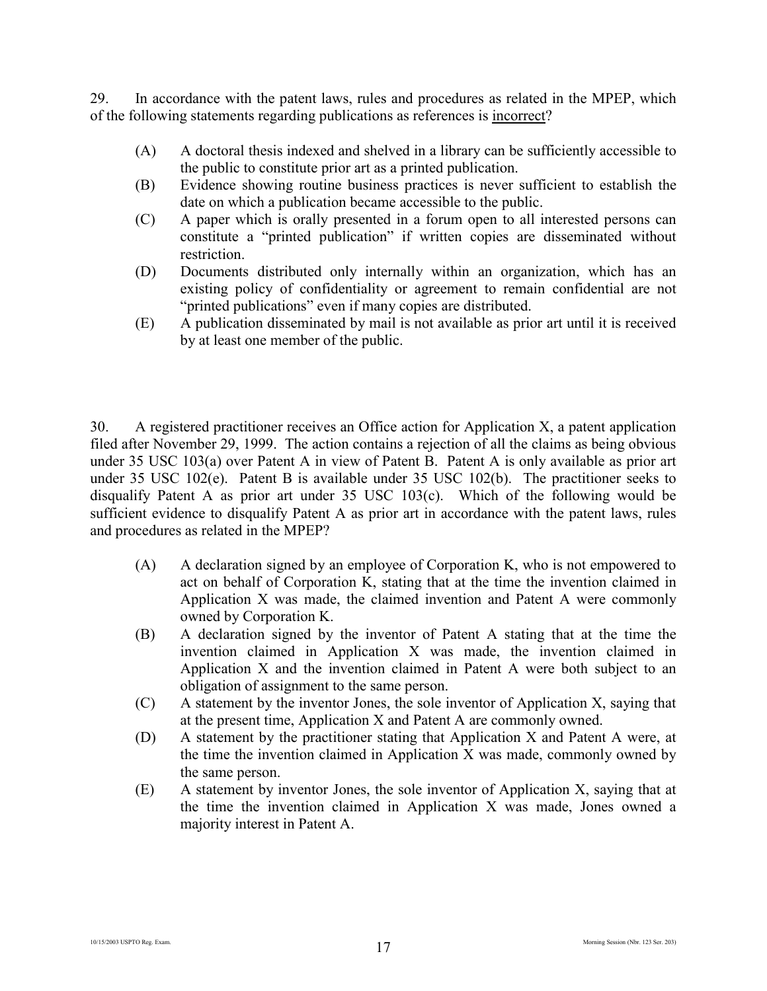29. In accordance with the patent laws, rules and procedures as related in the MPEP, which of the following statements regarding publications as references is incorrect?

- (A) A doctoral thesis indexed and shelved in a library can be sufficiently accessible to the public to constitute prior art as a printed publication.
- (B) Evidence showing routine business practices is never sufficient to establish the date on which a publication became accessible to the public.
- (C) A paper which is orally presented in a forum open to all interested persons can constitute a "printed publication" if written copies are disseminated without restriction.
- (D) Documents distributed only internally within an organization, which has an existing policy of confidentiality or agreement to remain confidential are not "printed publications" even if many copies are distributed.
- (E) A publication disseminated by mail is not available as prior art until it is received by at least one member of the public.

30. A registered practitioner receives an Office action for Application X, a patent application filed after November 29, 1999. The action contains a rejection of all the claims as being obvious under 35 USC 103(a) over Patent A in view of Patent B. Patent A is only available as prior art under 35 USC 102(e). Patent B is available under 35 USC 102(b). The practitioner seeks to disqualify Patent A as prior art under 35 USC 103(c). Which of the following would be sufficient evidence to disqualify Patent A as prior art in accordance with the patent laws, rules and procedures as related in the MPEP?

- (A) A declaration signed by an employee of Corporation K, who is not empowered to act on behalf of Corporation K, stating that at the time the invention claimed in Application X was made, the claimed invention and Patent A were commonly owned by Corporation K.
- (B) A declaration signed by the inventor of Patent A stating that at the time the invention claimed in Application X was made, the invention claimed in Application X and the invention claimed in Patent A were both subject to an obligation of assignment to the same person.
- (C) A statement by the inventor Jones, the sole inventor of Application X, saying that at the present time, Application X and Patent A are commonly owned.
- (D) A statement by the practitioner stating that Application X and Patent A were, at the time the invention claimed in Application X was made, commonly owned by the same person.
- (E) A statement by inventor Jones, the sole inventor of Application X, saying that at the time the invention claimed in Application X was made, Jones owned a majority interest in Patent A.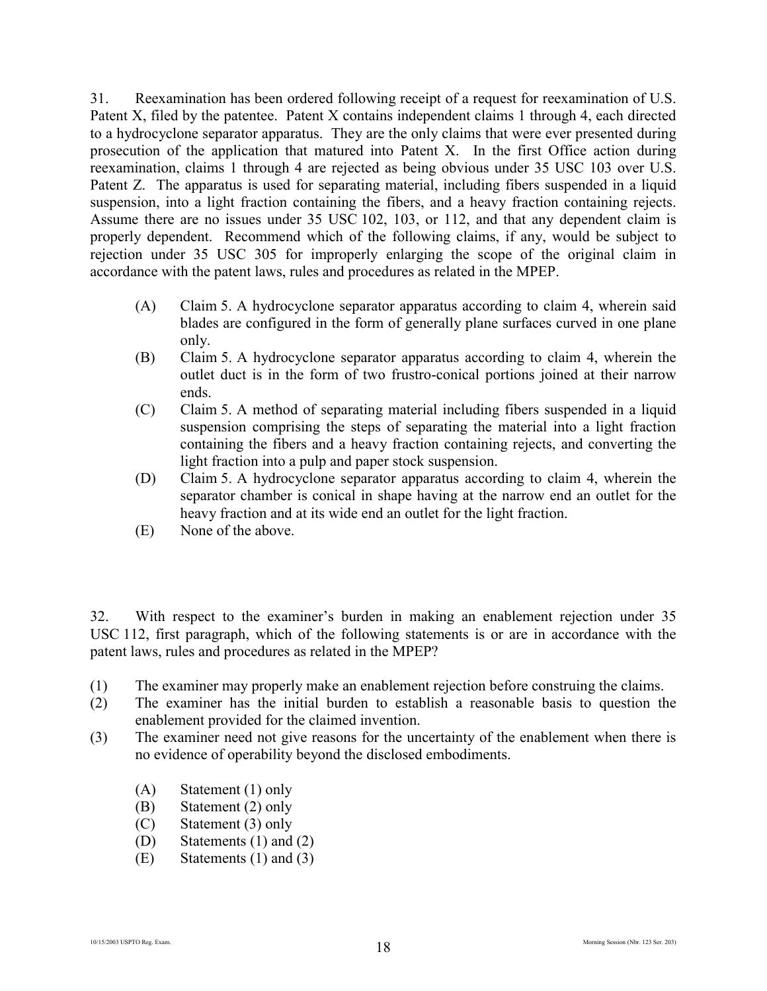31. Reexamination has been ordered following receipt of a request for reexamination of U.S. Patent X, filed by the patentee. Patent X contains independent claims 1 through 4, each directed to a hydrocyclone separator apparatus. They are the only claims that were ever presented during prosecution of the application that matured into Patent X. In the first Office action during reexamination, claims 1 through 4 are rejected as being obvious under 35 USC 103 over U.S. Patent Z. The apparatus is used for separating material, including fibers suspended in a liquid suspension, into a light fraction containing the fibers, and a heavy fraction containing rejects. Assume there are no issues under 35 USC 102, 103, or 112, and that any dependent claim is properly dependent. Recommend which of the following claims, if any, would be subject to rejection under 35 USC 305 for improperly enlarging the scope of the original claim in accordance with the patent laws, rules and procedures as related in the MPEP.

- (A) Claim 5. A hydrocyclone separator apparatus according to claim 4, wherein said blades are configured in the form of generally plane surfaces curved in one plane only.
- (B) Claim 5. A hydrocyclone separator apparatus according to claim 4, wherein the outlet duct is in the form of two frustro-conical portions joined at their narrow ends.
- (C) Claim 5. A method of separating material including fibers suspended in a liquid suspension comprising the steps of separating the material into a light fraction containing the fibers and a heavy fraction containing rejects, and converting the light fraction into a pulp and paper stock suspension.
- (D) Claim 5. A hydrocyclone separator apparatus according to claim 4, wherein the separator chamber is conical in shape having at the narrow end an outlet for the heavy fraction and at its wide end an outlet for the light fraction.
- (E) None of the above.

32. With respect to the examiner's burden in making an enablement rejection under 35 USC 112, first paragraph, which of the following statements is or are in accordance with the patent laws, rules and procedures as related in the MPEP?

- (1) The examiner may properly make an enablement rejection before construing the claims.
- (2) The examiner has the initial burden to establish a reasonable basis to question the enablement provided for the claimed invention.
- (3) The examiner need not give reasons for the uncertainty of the enablement when there is no evidence of operability beyond the disclosed embodiments.
	- (A) Statement (1) only
	- (B) Statement (2) only
	- (C) Statement (3) only
	- (D) Statements (1) and (2)
	- (E) Statements (1) and (3)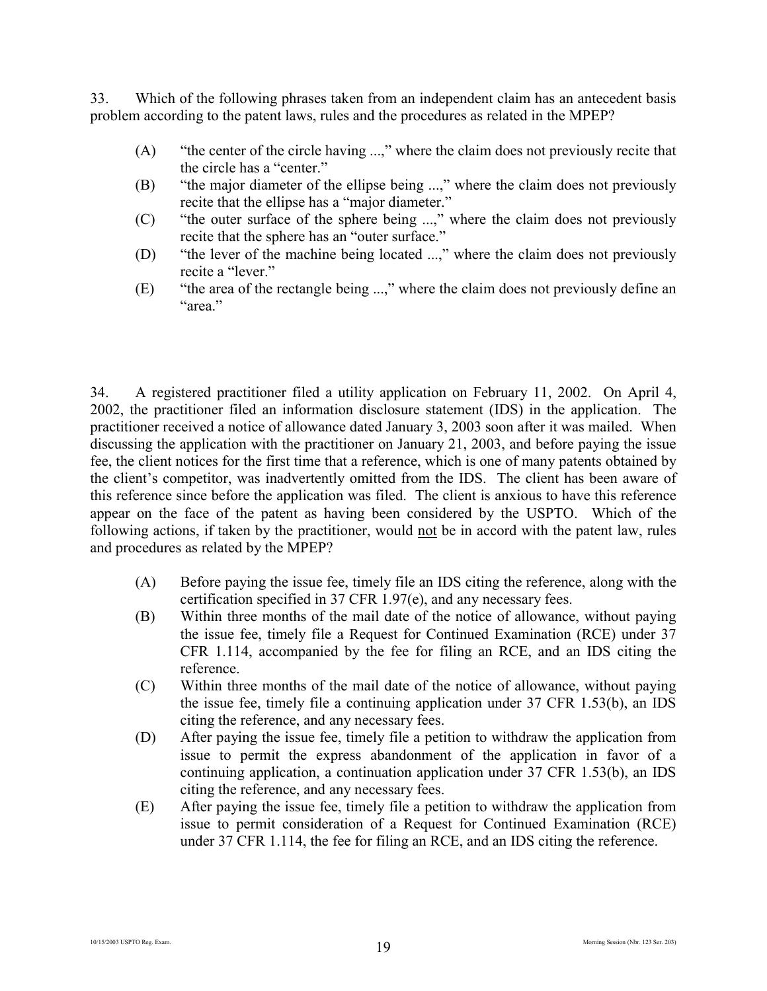33. Which of the following phrases taken from an independent claim has an antecedent basis problem according to the patent laws, rules and the procedures as related in the MPEP?

- (A) "the center of the circle having ...," where the claim does not previously recite that the circle has a "center."
- (B) "the major diameter of the ellipse being ...," where the claim does not previously recite that the ellipse has a "major diameter."
- (C) "the outer surface of the sphere being ...," where the claim does not previously recite that the sphere has an "outer surface."
- (D) "the lever of the machine being located ...," where the claim does not previously recite a "lever."
- (E) "the area of the rectangle being ...," where the claim does not previously define an "area."

34. A registered practitioner filed a utility application on February 11, 2002. On April 4, 2002, the practitioner filed an information disclosure statement (IDS) in the application. The practitioner received a notice of allowance dated January 3, 2003 soon after it was mailed. When discussing the application with the practitioner on January 21, 2003, and before paying the issue fee, the client notices for the first time that a reference, which is one of many patents obtained by the client's competitor, was inadvertently omitted from the IDS. The client has been aware of this reference since before the application was filed. The client is anxious to have this reference appear on the face of the patent as having been considered by the USPTO. Which of the following actions, if taken by the practitioner, would not be in accord with the patent law, rules and procedures as related by the MPEP?

- (A) Before paying the issue fee, timely file an IDS citing the reference, along with the certification specified in 37 CFR 1.97(e), and any necessary fees.
- (B) Within three months of the mail date of the notice of allowance, without paying the issue fee, timely file a Request for Continued Examination (RCE) under 37 CFR 1.114, accompanied by the fee for filing an RCE, and an IDS citing the reference.
- (C) Within three months of the mail date of the notice of allowance, without paying the issue fee, timely file a continuing application under 37 CFR 1.53(b), an IDS citing the reference, and any necessary fees.
- (D) After paying the issue fee, timely file a petition to withdraw the application from issue to permit the express abandonment of the application in favor of a continuing application, a continuation application under 37 CFR 1.53(b), an IDS citing the reference, and any necessary fees.
- (E) After paying the issue fee, timely file a petition to withdraw the application from issue to permit consideration of a Request for Continued Examination (RCE) under 37 CFR 1.114, the fee for filing an RCE, and an IDS citing the reference.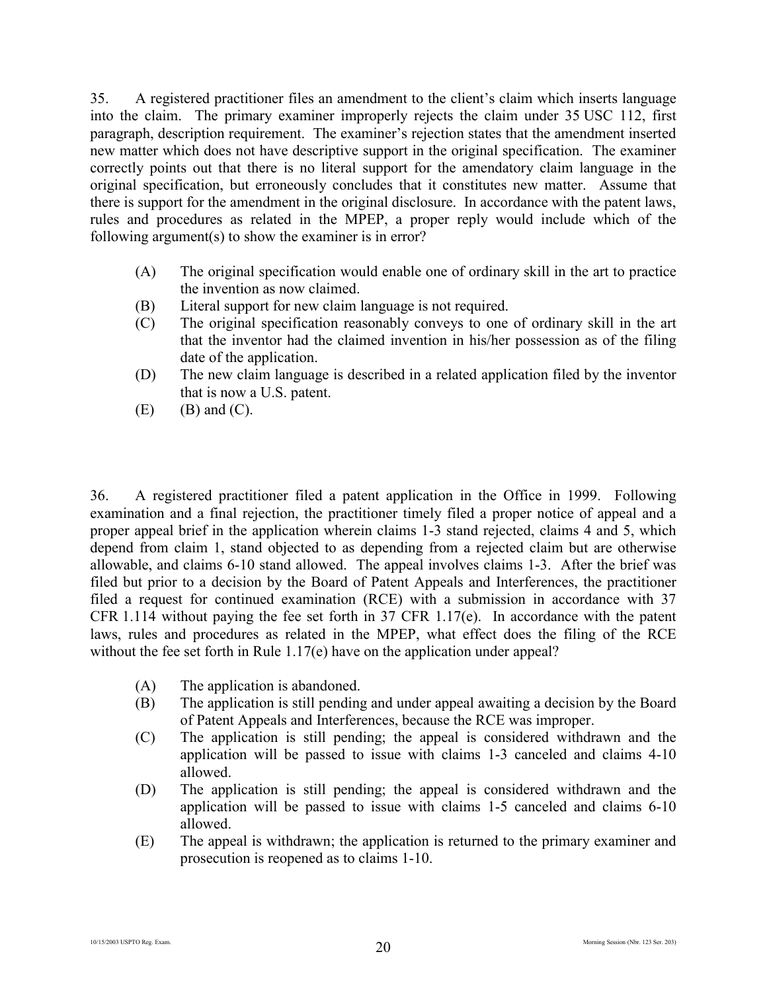35. A registered practitioner files an amendment to the client's claim which inserts language into the claim. The primary examiner improperly rejects the claim under 35 USC 112, first paragraph, description requirement. The examiner's rejection states that the amendment inserted new matter which does not have descriptive support in the original specification. The examiner correctly points out that there is no literal support for the amendatory claim language in the original specification, but erroneously concludes that it constitutes new matter. Assume that there is support for the amendment in the original disclosure. In accordance with the patent laws, rules and procedures as related in the MPEP, a proper reply would include which of the following argument(s) to show the examiner is in error?

- (A) The original specification would enable one of ordinary skill in the art to practice the invention as now claimed.
- (B) Literal support for new claim language is not required.
- (C) The original specification reasonably conveys to one of ordinary skill in the art that the inventor had the claimed invention in his/her possession as of the filing date of the application.
- (D) The new claim language is described in a related application filed by the inventor that is now a U.S. patent.
- $(E)$  (B) and  $(C)$ .

36. A registered practitioner filed a patent application in the Office in 1999. Following examination and a final rejection, the practitioner timely filed a proper notice of appeal and a proper appeal brief in the application wherein claims 1-3 stand rejected, claims 4 and 5, which depend from claim 1, stand objected to as depending from a rejected claim but are otherwise allowable, and claims 6-10 stand allowed. The appeal involves claims 1-3. After the brief was filed but prior to a decision by the Board of Patent Appeals and Interferences, the practitioner filed a request for continued examination (RCE) with a submission in accordance with 37 CFR 1.114 without paying the fee set forth in 37 CFR 1.17(e). In accordance with the patent laws, rules and procedures as related in the MPEP, what effect does the filing of the RCE without the fee set forth in Rule 1.17(e) have on the application under appeal?

- (A) The application is abandoned.
- (B) The application is still pending and under appeal awaiting a decision by the Board of Patent Appeals and Interferences, because the RCE was improper.
- (C) The application is still pending; the appeal is considered withdrawn and the application will be passed to issue with claims 1-3 canceled and claims 4-10 allowed.
- (D) The application is still pending; the appeal is considered withdrawn and the application will be passed to issue with claims 1-5 canceled and claims 6-10 allowed.
- (E) The appeal is withdrawn; the application is returned to the primary examiner and prosecution is reopened as to claims 1-10.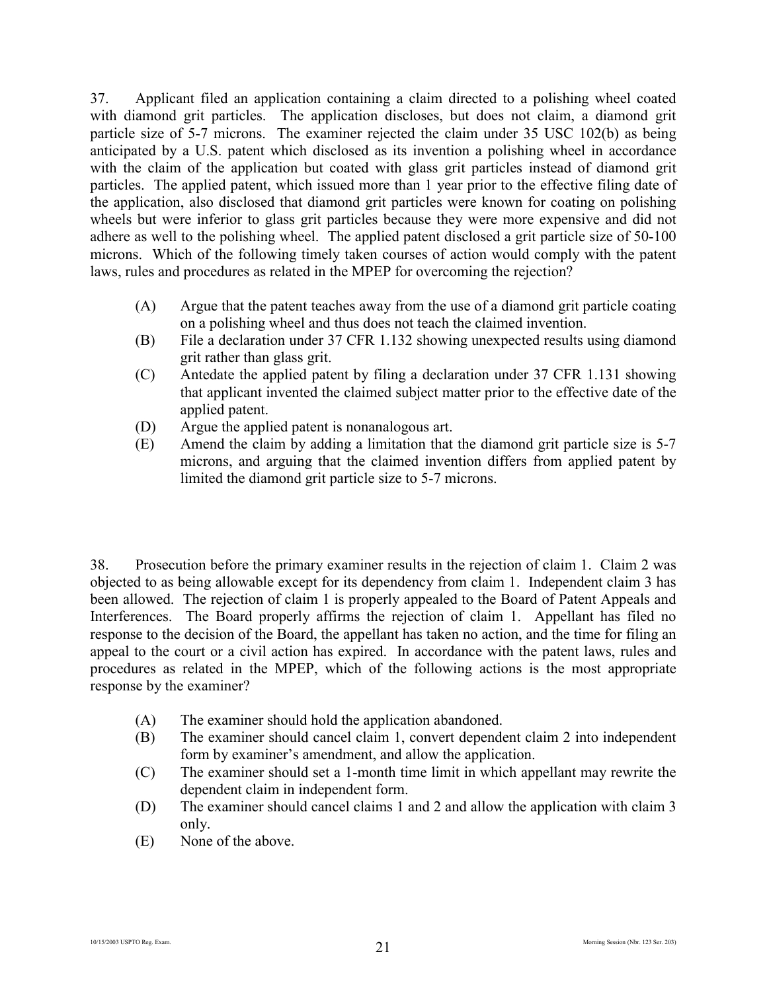37. Applicant filed an application containing a claim directed to a polishing wheel coated with diamond grit particles. The application discloses, but does not claim, a diamond grit particle size of 5-7 microns. The examiner rejected the claim under 35 USC 102(b) as being anticipated by a U.S. patent which disclosed as its invention a polishing wheel in accordance with the claim of the application but coated with glass grit particles instead of diamond grit particles. The applied patent, which issued more than 1 year prior to the effective filing date of the application, also disclosed that diamond grit particles were known for coating on polishing wheels but were inferior to glass grit particles because they were more expensive and did not adhere as well to the polishing wheel. The applied patent disclosed a grit particle size of 50-100 microns. Which of the following timely taken courses of action would comply with the patent laws, rules and procedures as related in the MPEP for overcoming the rejection?

- (A) Argue that the patent teaches away from the use of a diamond grit particle coating on a polishing wheel and thus does not teach the claimed invention.
- (B) File a declaration under 37 CFR 1.132 showing unexpected results using diamond grit rather than glass grit.
- (C) Antedate the applied patent by filing a declaration under 37 CFR 1.131 showing that applicant invented the claimed subject matter prior to the effective date of the applied patent.
- (D) Argue the applied patent is nonanalogous art.
- (E) Amend the claim by adding a limitation that the diamond grit particle size is 5-7 microns, and arguing that the claimed invention differs from applied patent by limited the diamond grit particle size to 5-7 microns.

38. Prosecution before the primary examiner results in the rejection of claim 1. Claim 2 was objected to as being allowable except for its dependency from claim 1. Independent claim 3 has been allowed. The rejection of claim 1 is properly appealed to the Board of Patent Appeals and Interferences. The Board properly affirms the rejection of claim 1. Appellant has filed no response to the decision of the Board, the appellant has taken no action, and the time for filing an appeal to the court or a civil action has expired. In accordance with the patent laws, rules and procedures as related in the MPEP, which of the following actions is the most appropriate response by the examiner?

- (A) The examiner should hold the application abandoned.
- (B) The examiner should cancel claim 1, convert dependent claim 2 into independent form by examiner's amendment, and allow the application.
- (C) The examiner should set a 1-month time limit in which appellant may rewrite the dependent claim in independent form.
- (D) The examiner should cancel claims 1 and 2 and allow the application with claim 3 only.
- (E) None of the above.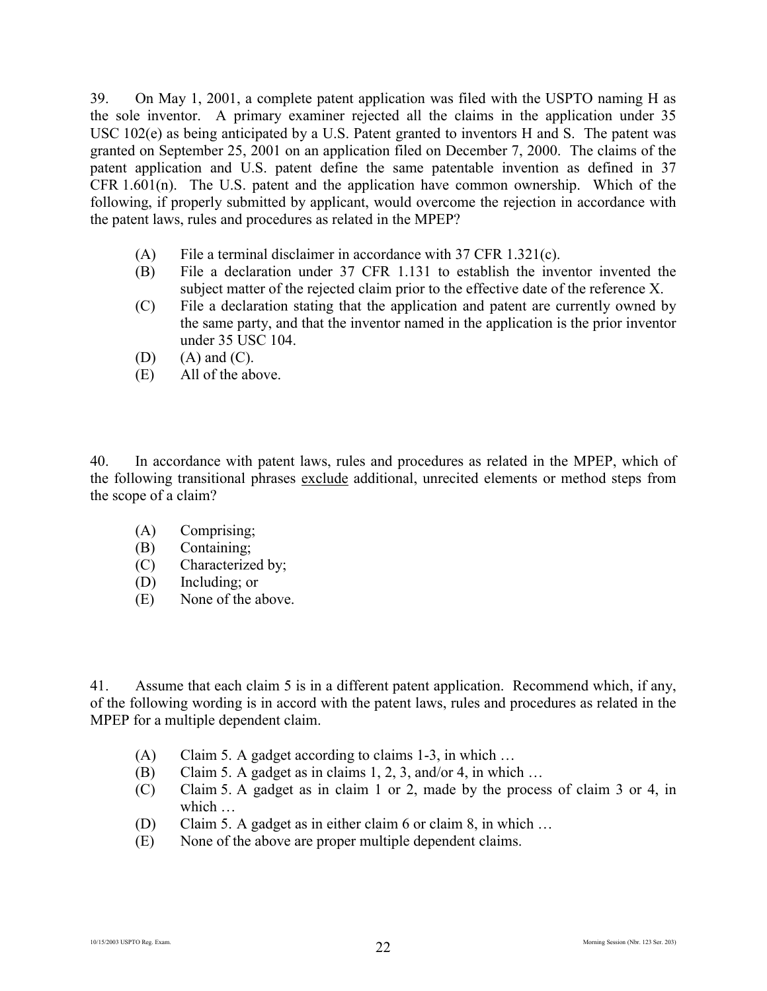39. On May 1, 2001, a complete patent application was filed with the USPTO naming H as the sole inventor. A primary examiner rejected all the claims in the application under 35 USC 102(e) as being anticipated by a U.S. Patent granted to inventors H and S. The patent was granted on September 25, 2001 on an application filed on December 7, 2000. The claims of the patent application and U.S. patent define the same patentable invention as defined in 37 CFR 1.601(n). The U.S. patent and the application have common ownership. Which of the following, if properly submitted by applicant, would overcome the rejection in accordance with the patent laws, rules and procedures as related in the MPEP?

- (A) File a terminal disclaimer in accordance with 37 CFR 1.321(c).
- (B) File a declaration under 37 CFR 1.131 to establish the inventor invented the subject matter of the rejected claim prior to the effective date of the reference X.
- (C) File a declaration stating that the application and patent are currently owned by the same party, and that the inventor named in the application is the prior inventor under 35 USC 104.
- $(D)$   $(A)$  and  $(C)$ .
- (E) All of the above.

40. In accordance with patent laws, rules and procedures as related in the MPEP, which of the following transitional phrases exclude additional, unrecited elements or method steps from the scope of a claim?

- (A) Comprising;
- (B) Containing;
- (C) Characterized by;
- (D) Including; or
- (E) None of the above.

41. Assume that each claim 5 is in a different patent application. Recommend which, if any, of the following wording is in accord with the patent laws, rules and procedures as related in the MPEP for a multiple dependent claim.

- (A) Claim 5. A gadget according to claims 1-3, in which …
- (B) Claim 5. A gadget as in claims 1, 2, 3, and/or 4, in which …
- (C) Claim 5. A gadget as in claim 1 or 2, made by the process of claim 3 or 4, in which …
- (D) Claim 5. A gadget as in either claim 6 or claim 8, in which …
- (E) None of the above are proper multiple dependent claims.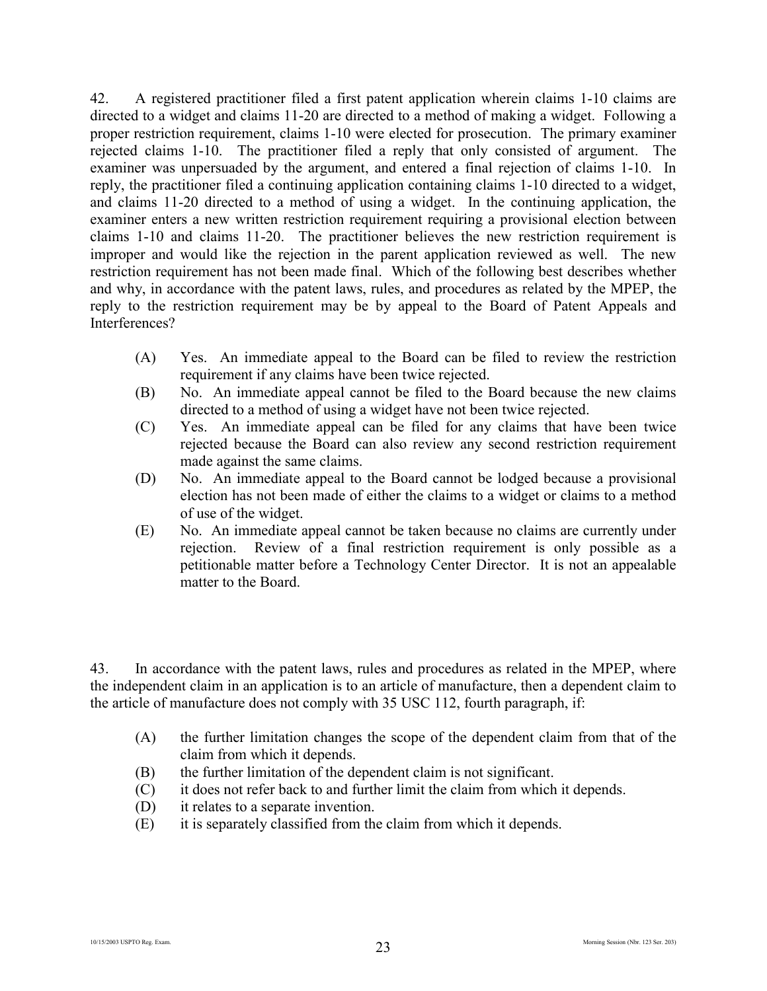42. A registered practitioner filed a first patent application wherein claims 1-10 claims are directed to a widget and claims 11-20 are directed to a method of making a widget. Following a proper restriction requirement, claims 1-10 were elected for prosecution. The primary examiner rejected claims 1-10. The practitioner filed a reply that only consisted of argument. The examiner was unpersuaded by the argument, and entered a final rejection of claims 1-10. In reply, the practitioner filed a continuing application containing claims 1-10 directed to a widget, and claims 11-20 directed to a method of using a widget. In the continuing application, the examiner enters a new written restriction requirement requiring a provisional election between claims 1-10 and claims 11-20. The practitioner believes the new restriction requirement is improper and would like the rejection in the parent application reviewed as well. The new restriction requirement has not been made final. Which of the following best describes whether and why, in accordance with the patent laws, rules, and procedures as related by the MPEP, the reply to the restriction requirement may be by appeal to the Board of Patent Appeals and Interferences?

- (A) Yes. An immediate appeal to the Board can be filed to review the restriction requirement if any claims have been twice rejected.
- (B) No. An immediate appeal cannot be filed to the Board because the new claims directed to a method of using a widget have not been twice rejected.
- (C) Yes. An immediate appeal can be filed for any claims that have been twice rejected because the Board can also review any second restriction requirement made against the same claims.
- (D) No. An immediate appeal to the Board cannot be lodged because a provisional election has not been made of either the claims to a widget or claims to a method of use of the widget.
- (E) No. An immediate appeal cannot be taken because no claims are currently under rejection. Review of a final restriction requirement is only possible as a petitionable matter before a Technology Center Director. It is not an appealable matter to the Board.

43. In accordance with the patent laws, rules and procedures as related in the MPEP, where the independent claim in an application is to an article of manufacture, then a dependent claim to the article of manufacture does not comply with 35 USC 112, fourth paragraph, if:

- (A) the further limitation changes the scope of the dependent claim from that of the claim from which it depends.
- (B) the further limitation of the dependent claim is not significant.
- (C) it does not refer back to and further limit the claim from which it depends.
- (D) it relates to a separate invention.
- (E) it is separately classified from the claim from which it depends.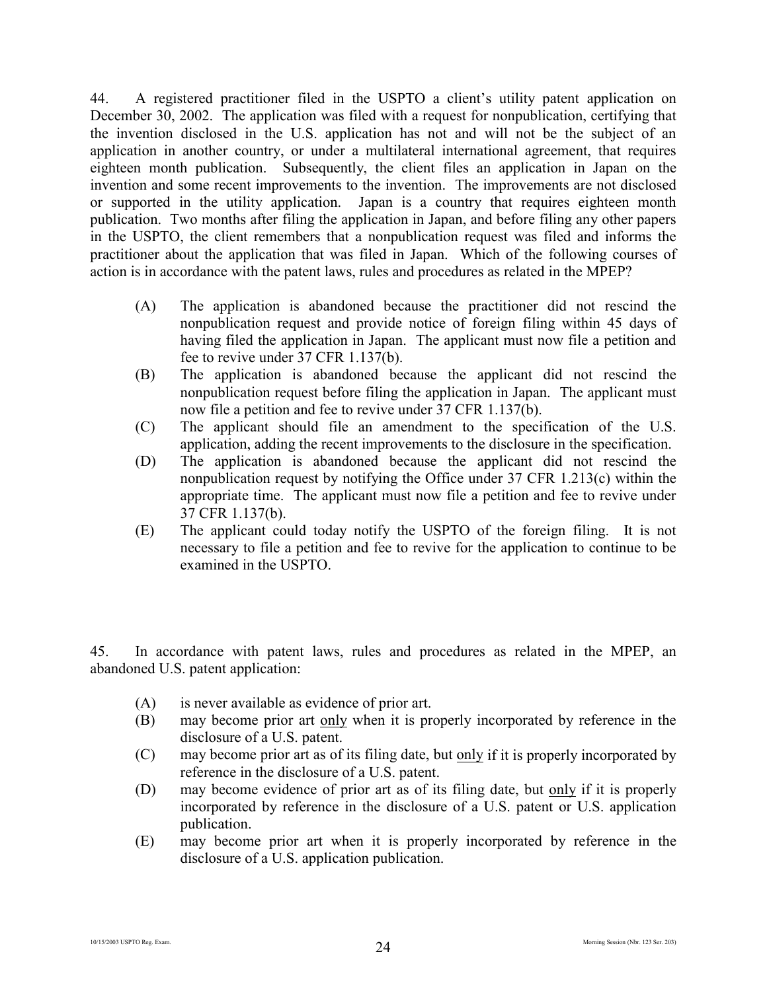44. A registered practitioner filed in the USPTO a client's utility patent application on December 30, 2002. The application was filed with a request for nonpublication, certifying that the invention disclosed in the U.S. application has not and will not be the subject of an application in another country, or under a multilateral international agreement, that requires eighteen month publication. Subsequently, the client files an application in Japan on the invention and some recent improvements to the invention. The improvements are not disclosed or supported in the utility application. Japan is a country that requires eighteen month publication. Two months after filing the application in Japan, and before filing any other papers in the USPTO, the client remembers that a nonpublication request was filed and informs the practitioner about the application that was filed in Japan. Which of the following courses of action is in accordance with the patent laws, rules and procedures as related in the MPEP?

- (A) The application is abandoned because the practitioner did not rescind the nonpublication request and provide notice of foreign filing within 45 days of having filed the application in Japan. The applicant must now file a petition and fee to revive under 37 CFR 1.137(b).
- (B) The application is abandoned because the applicant did not rescind the nonpublication request before filing the application in Japan. The applicant must now file a petition and fee to revive under 37 CFR 1.137(b).
- (C) The applicant should file an amendment to the specification of the U.S. application, adding the recent improvements to the disclosure in the specification.
- (D) The application is abandoned because the applicant did not rescind the nonpublication request by notifying the Office under 37 CFR 1.213(c) within the appropriate time. The applicant must now file a petition and fee to revive under 37 CFR 1.137(b).
- (E) The applicant could today notify the USPTO of the foreign filing. It is not necessary to file a petition and fee to revive for the application to continue to be examined in the USPTO.

45. In accordance with patent laws, rules and procedures as related in the MPEP, an abandoned U.S. patent application:

- (A) is never available as evidence of prior art.
- (B) may become prior art only when it is properly incorporated by reference in the disclosure of a U.S. patent.
- (C) may become prior art as of its filing date, but only if it is properly incorporated by reference in the disclosure of a U.S. patent.
- (D) may become evidence of prior art as of its filing date, but only if it is properly incorporated by reference in the disclosure of a U.S. patent or U.S. application publication.
- (E) may become prior art when it is properly incorporated by reference in the disclosure of a U.S. application publication.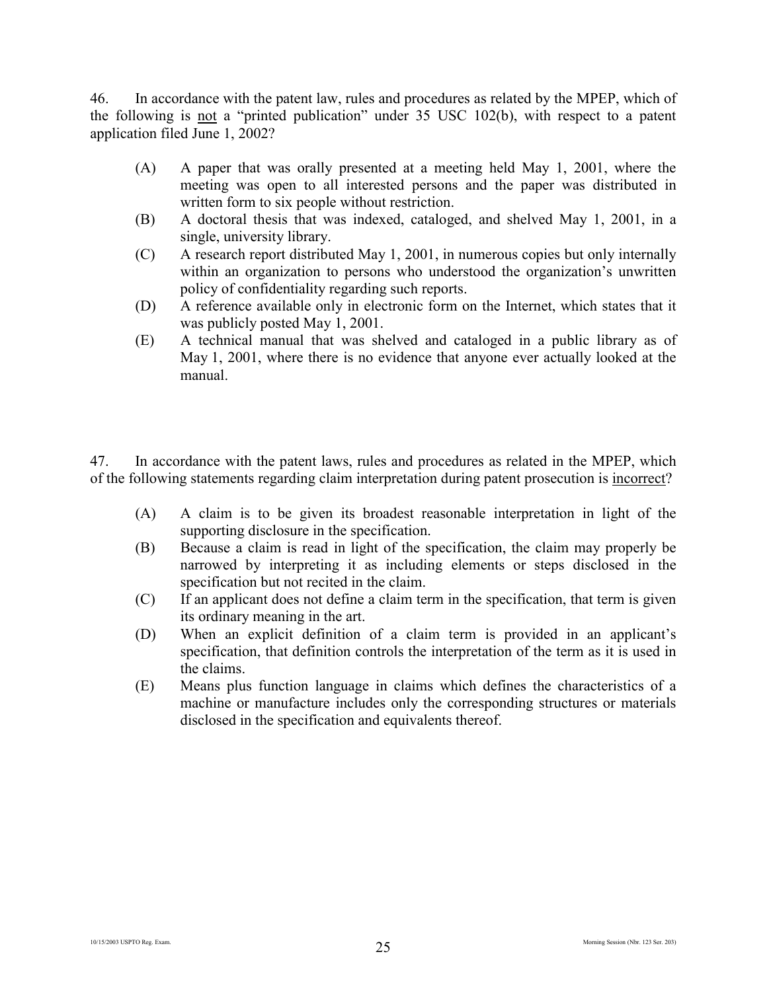46. In accordance with the patent law, rules and procedures as related by the MPEP, which of the following is not a "printed publication" under 35 USC 102(b), with respect to a patent application filed June 1, 2002?

- (A) A paper that was orally presented at a meeting held May 1, 2001, where the meeting was open to all interested persons and the paper was distributed in written form to six people without restriction.
- (B) A doctoral thesis that was indexed, cataloged, and shelved May 1, 2001, in a single, university library.
- (C) A research report distributed May 1, 2001, in numerous copies but only internally within an organization to persons who understood the organization's unwritten policy of confidentiality regarding such reports.
- (D) A reference available only in electronic form on the Internet, which states that it was publicly posted May 1, 2001.
- (E) A technical manual that was shelved and cataloged in a public library as of May 1, 2001, where there is no evidence that anyone ever actually looked at the manual.

47. In accordance with the patent laws, rules and procedures as related in the MPEP, which of the following statements regarding claim interpretation during patent prosecution is incorrect?

- (A) A claim is to be given its broadest reasonable interpretation in light of the supporting disclosure in the specification.
- (B) Because a claim is read in light of the specification, the claim may properly be narrowed by interpreting it as including elements or steps disclosed in the specification but not recited in the claim.
- (C) If an applicant does not define a claim term in the specification, that term is given its ordinary meaning in the art.
- (D) When an explicit definition of a claim term is provided in an applicant's specification, that definition controls the interpretation of the term as it is used in the claims.
- (E) Means plus function language in claims which defines the characteristics of a machine or manufacture includes only the corresponding structures or materials disclosed in the specification and equivalents thereof.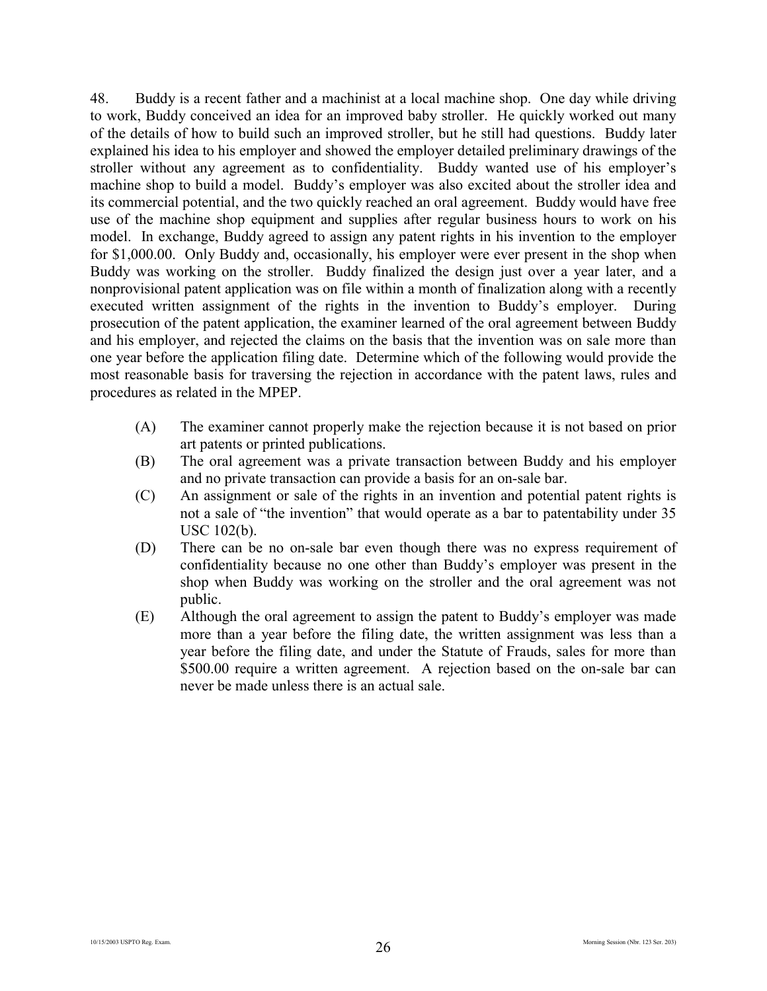48. Buddy is a recent father and a machinist at a local machine shop. One day while driving to work, Buddy conceived an idea for an improved baby stroller. He quickly worked out many of the details of how to build such an improved stroller, but he still had questions. Buddy later explained his idea to his employer and showed the employer detailed preliminary drawings of the stroller without any agreement as to confidentiality. Buddy wanted use of his employer's machine shop to build a model. Buddy's employer was also excited about the stroller idea and its commercial potential, and the two quickly reached an oral agreement. Buddy would have free use of the machine shop equipment and supplies after regular business hours to work on his model. In exchange, Buddy agreed to assign any patent rights in his invention to the employer for \$1,000.00. Only Buddy and, occasionally, his employer were ever present in the shop when Buddy was working on the stroller. Buddy finalized the design just over a year later, and a nonprovisional patent application was on file within a month of finalization along with a recently executed written assignment of the rights in the invention to Buddy's employer. During prosecution of the patent application, the examiner learned of the oral agreement between Buddy and his employer, and rejected the claims on the basis that the invention was on sale more than one year before the application filing date. Determine which of the following would provide the most reasonable basis for traversing the rejection in accordance with the patent laws, rules and procedures as related in the MPEP.

- (A) The examiner cannot properly make the rejection because it is not based on prior art patents or printed publications.
- (B) The oral agreement was a private transaction between Buddy and his employer and no private transaction can provide a basis for an on-sale bar.
- (C) An assignment or sale of the rights in an invention and potential patent rights is not a sale of "the invention" that would operate as a bar to patentability under 35 USC 102(b).
- (D) There can be no on-sale bar even though there was no express requirement of confidentiality because no one other than Buddy's employer was present in the shop when Buddy was working on the stroller and the oral agreement was not public.
- (E) Although the oral agreement to assign the patent to Buddy's employer was made more than a year before the filing date, the written assignment was less than a year before the filing date, and under the Statute of Frauds, sales for more than \$500.00 require a written agreement. A rejection based on the on-sale bar can never be made unless there is an actual sale.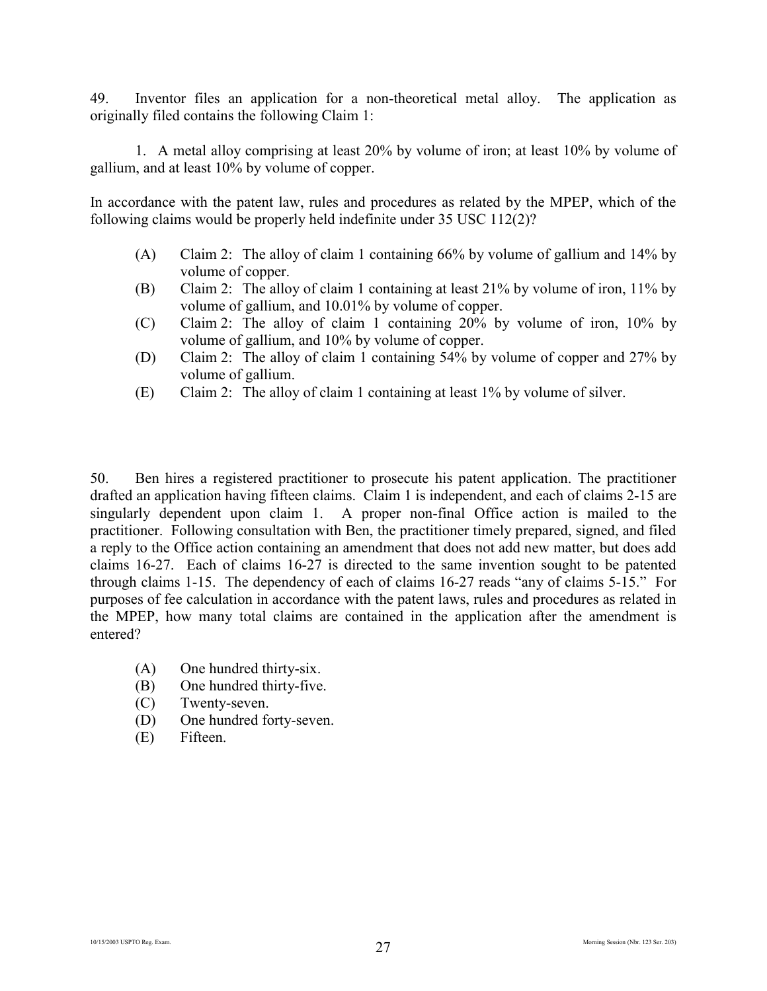49. Inventor files an application for a non-theoretical metal alloy. The application as originally filed contains the following Claim 1:

 1. A metal alloy comprising at least 20% by volume of iron; at least 10% by volume of gallium, and at least 10% by volume of copper.

In accordance with the patent law, rules and procedures as related by the MPEP, which of the following claims would be properly held indefinite under 35 USC 112(2)?

- (A) Claim 2: The alloy of claim 1 containing 66% by volume of gallium and 14% by volume of copper.
- (B) Claim 2: The alloy of claim 1 containing at least 21% by volume of iron, 11% by volume of gallium, and 10.01% by volume of copper.
- (C) Claim 2: The alloy of claim 1 containing 20% by volume of iron, 10% by volume of gallium, and 10% by volume of copper.
- (D) Claim 2: The alloy of claim 1 containing 54% by volume of copper and 27% by volume of gallium.
- (E) Claim 2: The alloy of claim 1 containing at least 1% by volume of silver.

50. Ben hires a registered practitioner to prosecute his patent application. The practitioner drafted an application having fifteen claims. Claim 1 is independent, and each of claims 2-15 are singularly dependent upon claim 1. A proper non-final Office action is mailed to the practitioner. Following consultation with Ben, the practitioner timely prepared, signed, and filed a reply to the Office action containing an amendment that does not add new matter, but does add claims 16-27. Each of claims 16-27 is directed to the same invention sought to be patented through claims 1-15. The dependency of each of claims 16-27 reads "any of claims 5-15." For purposes of fee calculation in accordance with the patent laws, rules and procedures as related in the MPEP, how many total claims are contained in the application after the amendment is entered?

- (A) One hundred thirty-six.
- (B) One hundred thirty-five.
- (C) Twenty-seven.
- (D) One hundred forty-seven.
- (E) Fifteen.